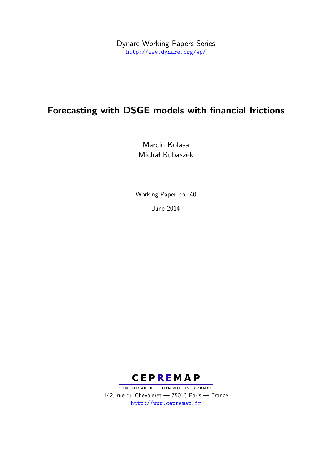Dynare Working Papers Series <http://www.dynare.org/wp/>

# Forecasting with DSGE models with financial frictions

Marcin Kolasa Michał Rubaszek

Working Paper no. 40

June 2014



CENTRE POUR LA RECHERCHE ECONOMIQUE ET SES APPLICATIONS 142, rue du Chevaleret — 75013 Paris — France <http://www.cepremap.fr>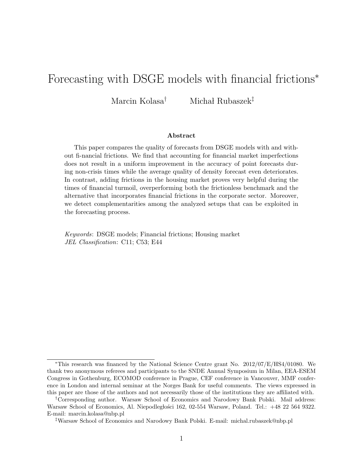# Forecasting with DSGE models with financial frictions*<sup>∗</sup>*

Marcin Kolasa<sup>†</sup> Michał Rubaszek<sup>‡</sup>

#### **Abstract**

This paper compares the quality of forecasts from DSGE models with and without fi-nancial frictions. We find that accounting for financial market imperfections does not result in a uniform improvement in the accuracy of point forecasts during non-crisis times while the average quality of density forecast even deteriorates. In contrast, adding frictions in the housing market proves very helpful during the times of financial turmoil, overperforming both the frictionless benchmark and the alternative that incorporates financial frictions in the corporate sector. Moreover, we detect complementarities among the analyzed setups that can be exploited in the forecasting process.

*Keywords*: DSGE models; Financial frictions; Housing market *JEL Classification*: C11; C53; E44

*<sup>∗</sup>*This research was financed by the National Science Centre grant No. 2012/07/E/HS4/01080. We thank two anonymous referees and participants to the SNDE Annual Symposium in Milan, EEA-ESEM Congress in Gothenburg, ECOMOD conference in Prague, CEF conference in Vancouver, MMF conference in London and internal seminar at the Norges Bank for useful comments. The views expressed in this paper are those of the authors and not necessarily those of the institutions they are affiliated with.

*<sup>†</sup>*Corresponding author. Warsaw School of Economics and Narodowy Bank Polski. Mail address: Warsaw School of Economics, Al. Niepodległości 162, 02-554 Warsaw, Poland. Tel.: +48 22 564 9322. E-mail: marcin.kolasa@nbp.pl

*<sup>‡</sup>*Warsaw School of Economics and Narodowy Bank Polski. E-mail: michal.rubaszek@nbp.pl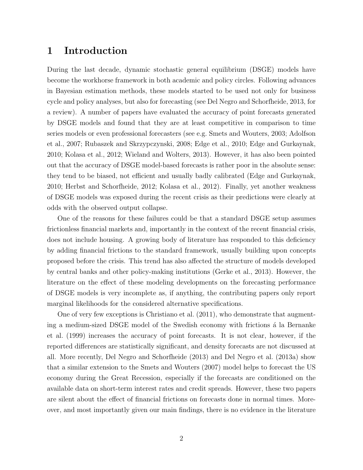## **1 Introduction**

During the last decade, dynamic stochastic general equilibrium (DSGE) models have become the workhorse framework in both academic and policy circles. Following advances in Bayesian estimation methods, these models started to be used not only for business cycle and policy analyses, but also for forecasting (see Del Negro and Schorfheide, 2013, for a review). A number of papers have evaluated the accuracy of point forecasts generated by DSGE models and found that they are at least competitive in comparison to time series models or even professional forecasters (see e.g. Smets and Wouters, 2003; Adolfson et al., 2007; Rubaszek and Skrzypczynski, 2008; Edge et al., 2010; Edge and Gurkaynak, 2010; Kolasa et al., 2012; Wieland and Wolters, 2013). However, it has also been pointed out that the accuracy of DSGE model-based forecasts is rather poor in the absolute sense: they tend to be biased, not efficient and usually badly calibrated (Edge and Gurkaynak, 2010; Herbst and Schorfheide, 2012; Kolasa et al., 2012). Finally, yet another weakness of DSGE models was exposed during the recent crisis as their predictions were clearly at odds with the observed output collapse.

One of the reasons for these failures could be that a standard DSGE setup assumes frictionless financial markets and, importantly in the context of the recent financial crisis, does not include housing. A growing body of literature has responded to this deficiency by adding financial frictions to the standard framework, usually building upon concepts proposed before the crisis. This trend has also affected the structure of models developed by central banks and other policy-making institutions (Gerke et al., 2013). However, the literature on the effect of these modeling developments on the forecasting performance of DSGE models is very incomplete as, if anything, the contributing papers only report marginal likelihoods for the considered alternative specifications.

One of very few exceptions is Christiano et al. (2011), who demonstrate that augmenting a medium-sized DSGE model of the Swedish economy with frictions a la Bernanke et al. (1999) increases the accuracy of point forecasts. It is not clear, however, if the reported differences are statistically significant, and density forecasts are not discussed at all. More recently, Del Negro and Schorfheide (2013) and Del Negro et al. (2013a) show that a similar extension to the Smets and Wouters (2007) model helps to forecast the US economy during the Great Recession, especially if the forecasts are conditioned on the available data on short-term interest rates and credit spreads. However, these two papers are silent about the effect of financial frictions on forecasts done in normal times. Moreover, and most importantly given our main findings, there is no evidence in the literature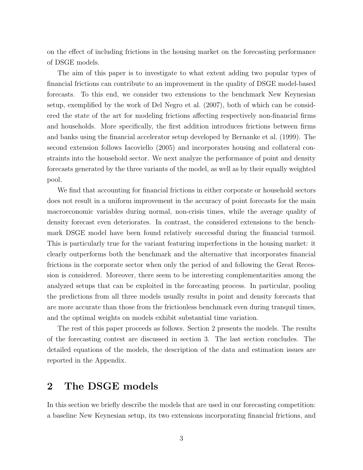on the effect of including frictions in the housing market on the forecasting performance of DSGE models.

The aim of this paper is to investigate to what extent adding two popular types of financial frictions can contribute to an improvement in the quality of DSGE model-based forecasts. To this end, we consider two extensions to the benchmark New Keynesian setup, exemplified by the work of Del Negro et al. (2007), both of which can be considered the state of the art for modeling frictions affecting respectively non-financial firms and households. More specifically, the first addition introduces frictions between firms and banks using the financial accelerator setup developed by Bernanke et al. (1999). The second extension follows Iacoviello (2005) and incorporates housing and collateral constraints into the household sector. We next analyze the performance of point and density forecasts generated by the three variants of the model, as well as by their equally weighted pool.

We find that accounting for financial frictions in either corporate or household sectors does not result in a uniform improvement in the accuracy of point forecasts for the main macroeconomic variables during normal, non-crisis times, while the average quality of density forecast even deteriorates. In contrast, the considered extensions to the benchmark DSGE model have been found relatively successful during the financial turmoil. This is particularly true for the variant featuring imperfections in the housing market: it clearly outperforms both the benchmark and the alternative that incorporates financial frictions in the corporate sector when only the period of and following the Great Recession is considered. Moreover, there seem to be interesting complementarities among the analyzed setups that can be exploited in the forecasting process. In particular, pooling the predictions from all three models usually results in point and density forecasts that are more accurate than those from the frictionless benchmark even during tranquil times, and the optimal weights on models exhibit substantial time variation.

The rest of this paper proceeds as follows. Section 2 presents the models. The results of the forecasting contest are discussed in section 3. The last section concludes. The detailed equations of the models, the description of the data and estimation issues are reported in the Appendix.

## **2 The DSGE models**

In this section we briefly describe the models that are used in our forecasting competition: a baseline New Keynesian setup, its two extensions incorporating financial frictions, and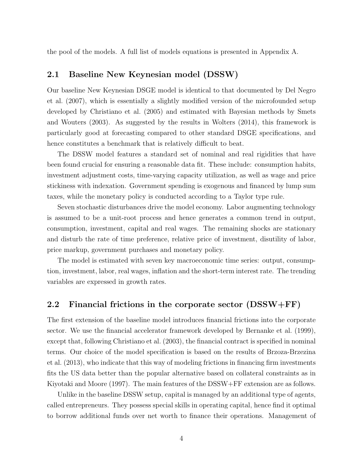the pool of the models. A full list of models equations is presented in Appendix A.

#### **2.1 Baseline New Keynesian model (DSSW)**

Our baseline New Keynesian DSGE model is identical to that documented by Del Negro et al. (2007), which is essentially a slightly modified version of the microfounded setup developed by Christiano et al. (2005) and estimated with Bayesian methods by Smets and Wouters (2003). As suggested by the results in Wolters (2014), this framework is particularly good at forecasting compared to other standard DSGE specifications, and hence constitutes a benchmark that is relatively difficult to beat.

The DSSW model features a standard set of nominal and real rigidities that have been found crucial for ensuring a reasonable data fit. These include: consumption habits, investment adjustment costs, time-varying capacity utilization, as well as wage and price stickiness with indexation. Government spending is exogenous and financed by lump sum taxes, while the monetary policy is conducted according to a Taylor type rule.

Seven stochastic disturbances drive the model economy. Labor augmenting technology is assumed to be a unit-root process and hence generates a common trend in output, consumption, investment, capital and real wages. The remaining shocks are stationary and disturb the rate of time preference, relative price of investment, disutility of labor, price markup, government purchases and monetary policy.

The model is estimated with seven key macroeconomic time series: output, consumption, investment, labor, real wages, inflation and the short-term interest rate. The trending variables are expressed in growth rates.

### **2.2 Financial frictions in the corporate sector (DSSW+FF)**

The first extension of the baseline model introduces financial frictions into the corporate sector. We use the financial accelerator framework developed by Bernanke et al. (1999), except that, following Christiano et al. (2003), the financial contract is specified in nominal terms. Our choice of the model specification is based on the results of Brzoza-Brzezina et al. (2013), who indicate that this way of modeling frictions in financing firm investments fits the US data better than the popular alternative based on collateral constraints as in Kiyotaki and Moore (1997). The main features of the DSSW+FF extension are as follows.

Unlike in the baseline DSSW setup, capital is managed by an additional type of agents, called entrepreneurs. They possess special skills in operating capital, hence find it optimal to borrow additional funds over net worth to finance their operations. Management of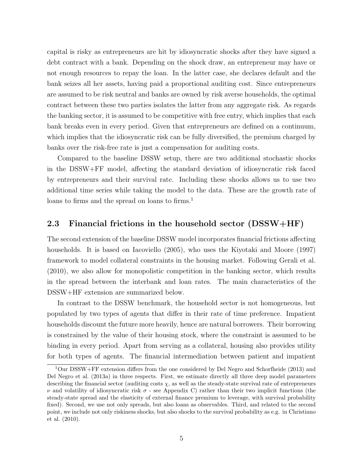capital is risky as entrepreneurs are hit by idiosyncratic shocks after they have signed a debt contract with a bank. Depending on the shock draw, an entrepreneur may have or not enough resources to repay the loan. In the latter case, she declares default and the bank seizes all her assets, having paid a proportional auditing cost. Since entrepreneurs are assumed to be risk neutral and banks are owned by risk averse households, the optimal contract between these two parties isolates the latter from any aggregate risk. As regards the banking sector, it is assumed to be competitive with free entry, which implies that each bank breaks even in every period. Given that entrepreneurs are defined on a continuum, which implies that the idiosyncratic risk can be fully diversified, the premium charged by banks over the risk-free rate is just a compensation for auditing costs.

Compared to the baseline DSSW setup, there are two additional stochastic shocks in the DSSW+FF model, affecting the standard deviation of idiosyncratic risk faced by entrepreneurs and their survival rate. Including these shocks allows us to use two additional time series while taking the model to the data. These are the growth rate of loans to firms and the spread on loans to firms.<sup>1</sup>

#### **2.3 Financial frictions in the household sector (DSSW+HF)**

The second extension of the baseline DSSW model incorporates financial frictions affecting households. It is based on Iacoviello (2005), who uses the Kiyotaki and Moore (1997) framework to model collateral constraints in the housing market. Following Gerali et al. (2010), we also allow for monopolistic competition in the banking sector, which results in the spread between the interbank and loan rates. The main characteristics of the DSSW+HF extension are summarized below.

In contrast to the DSSW benchmark, the household sector is not homogeneous, but populated by two types of agents that differ in their rate of time preference. Impatient households discount the future more heavily, hence are natural borrowers. Their borrowing is constrained by the value of their housing stock, where the constraint is assumed to be binding in every period. Apart from serving as a collateral, housing also provides utility for both types of agents. The financial intermediation between patient and impatient

<sup>1</sup>Our DSSW+FF extension differs from the one considered by Del Negro and Schorfheide (2013) and Del Negro et al. (2013a) in three respects. First, we estimate directly all three deep model parameters describing the financial sector (auditing costs  $\chi$ , as well as the steady-state survival rate of entrepreneurs *ν* and volatility of idiosyncratic risk  $\sigma$  - see Appendix C) rather than their two implicit functions (the steady-state spread and the elasticity of external finance premium to leverage, with survival probability fixed). Second, we use not only spreads, but also loans as observables. Third, and related to the second point, we include not only riskiness shocks, but also shocks to the survival probability as e.g. in Christiano et al. (2010).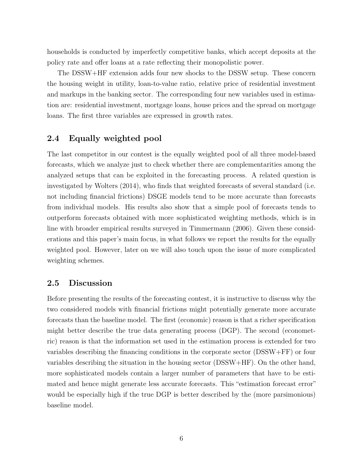households is conducted by imperfectly competitive banks, which accept deposits at the policy rate and offer loans at a rate reflecting their monopolistic power.

The DSSW+HF extension adds four new shocks to the DSSW setup. These concern the housing weight in utility, loan-to-value ratio, relative price of residential investment and markups in the banking sector. The corresponding four new variables used in estimation are: residential investment, mortgage loans, house prices and the spread on mortgage loans. The first three variables are expressed in growth rates.

#### **2.4 Equally weighted pool**

The last competitor in our contest is the equally weighted pool of all three model-based forecasts, which we analyze just to check whether there are complementarities among the analyzed setups that can be exploited in the forecasting process. A related question is investigated by Wolters (2014), who finds that weighted forecasts of several standard (i.e. not including financial frictions) DSGE models tend to be more accurate than forecasts from individual models. His results also show that a simple pool of forecasts tends to outperform forecasts obtained with more sophisticated weighting methods, which is in line with broader empirical results surveyed in Timmermann (2006). Given these considerations and this paper's main focus, in what follows we report the results for the equally weighted pool. However, later on we will also touch upon the issue of more complicated weighting schemes.

#### **2.5 Discussion**

Before presenting the results of the forecasting contest, it is instructive to discuss why the two considered models with financial frictions might potentially generate more accurate forecasts than the baseline model. The first (economic) reason is that a richer specification might better describe the true data generating process (DGP). The second (econometric) reason is that the information set used in the estimation process is extended for two variables describing the financing conditions in the corporate sector (DSSW+FF) or four variables describing the situation in the housing sector (DSSW+HF). On the other hand, more sophisticated models contain a larger number of parameters that have to be estimated and hence might generate less accurate forecasts. This "estimation forecast error" would be especially high if the true DGP is better described by the (more parsimonious) baseline model.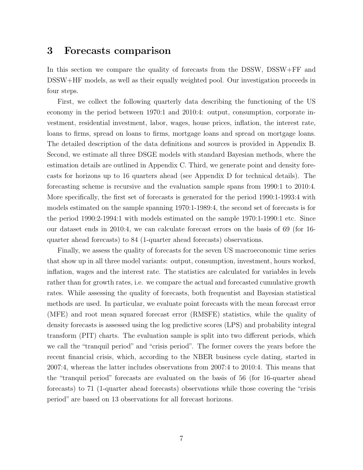### **3 Forecasts comparison**

In this section we compare the quality of forecasts from the DSSW, DSSW+FF and DSSW+HF models, as well as their equally weighted pool. Our investigation proceeds in four steps.

First, we collect the following quarterly data describing the functioning of the US economy in the period between 1970:1 and 2010:4: output, consumption, corporate investment, residential investment, labor, wages, house prices, inflation, the interest rate, loans to firms, spread on loans to firms, mortgage loans and spread on mortgage loans. The detailed description of the data definitions and sources is provided in Appendix B. Second, we estimate all three DSGE models with standard Bayesian methods, where the estimation details are outlined in Appendix C. Third, we generate point and density forecasts for horizons up to 16 quarters ahead (see Appendix D for technical details). The forecasting scheme is recursive and the evaluation sample spans from 1990:1 to 2010:4. More specifically, the first set of forecasts is generated for the period 1990:1-1993:4 with models estimated on the sample spanning 1970:1-1989:4, the second set of forecasts is for the period 1990:2-1994:1 with models estimated on the sample 1970:1-1990:1 etc. Since our dataset ends in 2010:4, we can calculate forecast errors on the basis of 69 (for 16 quarter ahead forecasts) to 84 (1-quarter ahead forecasts) observations.

Finally, we assess the quality of forecasts for the seven US macroeconomic time series that show up in all three model variants: output, consumption, investment, hours worked, inflation, wages and the interest rate. The statistics are calculated for variables in levels rather than for growth rates, i.e. we compare the actual and forecasted cumulative growth rates. While assessing the quality of forecasts, both frequentist and Bayesian statistical methods are used. In particular, we evaluate point forecasts with the mean forecast error (MFE) and root mean squared forecast error (RMSFE) statistics, while the quality of density forecasts is assessed using the log predictive scores (LPS) and probability integral transform (PIT) charts. The evaluation sample is split into two different periods, which we call the "tranquil period" and "crisis period". The former covers the years before the recent financial crisis, which, according to the NBER business cycle dating, started in 2007:4, whereas the latter includes observations from 2007:4 to 2010:4. This means that the "tranquil period" forecasts are evaluated on the basis of 56 (for 16-quarter ahead forecasts) to 71 (1-quarter ahead forecasts) observations while those covering the "crisis period" are based on 13 observations for all forecast horizons.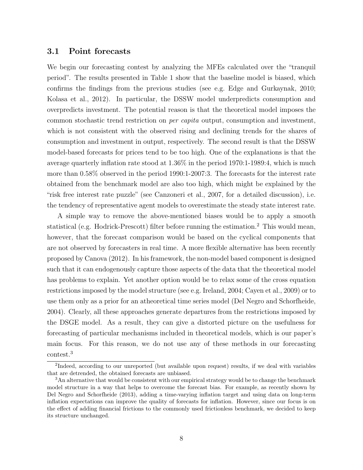#### **3.1 Point forecasts**

We begin our forecasting contest by analyzing the MFEs calculated over the "tranquil period". The results presented in Table 1 show that the baseline model is biased, which confirms the findings from the previous studies (see e.g. Edge and Gurkaynak, 2010; Kolasa et al., 2012). In particular, the DSSW model underpredicts consumption and overpredicts investment. The potential reason is that the theoretical model imposes the common stochastic trend restriction on *per capita* output, consumption and investment, which is not consistent with the observed rising and declining trends for the shares of consumption and investment in output, respectively. The second result is that the DSSW model-based forecasts for prices tend to be too high. One of the explanations is that the average quarterly inflation rate stood at 1.36% in the period 1970:1-1989:4, which is much more than 0.58% observed in the period 1990:1-2007:3. The forecasts for the interest rate obtained from the benchmark model are also too high, which might be explained by the "risk free interest rate puzzle" (see Canzoneri et al., 2007, for a detailed discussion), i.e. the tendency of representative agent models to overestimate the steady state interest rate.

A simple way to remove the above-mentioned biases would be to apply a smooth statistical (e.g. Hodrick-Prescott) filter before running the estimation.<sup>2</sup> This would mean, however, that the forecast comparison would be based on the cyclical components that are not observed by forecasters in real time. A more flexible alternative has been recently proposed by Canova (2012). In his framework, the non-model based component is designed such that it can endogenously capture those aspects of the data that the theoretical model has problems to explain. Yet another option would be to relax some of the cross equation restrictions imposed by the model structure (see e.g. Ireland, 2004; Cayen et al., 2009) or to use them only as a prior for an atheoretical time series model (Del Negro and Schorfheide, 2004). Clearly, all these approaches generate departures from the restrictions imposed by the DSGE model. As a result, they can give a distorted picture on the usefulness for forecasting of particular mechanisms included in theoretical models, which is our paper's main focus. For this reason, we do not use any of these methods in our forecasting contest.<sup>3</sup>

<sup>&</sup>lt;sup>2</sup>Indeed, according to our unreported (but available upon request) results, if we deal with variables that are detrended, the obtained forecasts are unbiased.

<sup>&</sup>lt;sup>3</sup>An alternative that would be consistent with our empirical strategy would be to change the benchmark model structure in a way that helps to overcome the forecast bias. For example, as recently shown by Del Negro and Schorfheide (2013), adding a time-varying inflation target and using data on long-term inflation expectations can improve the quality of forecasts for inflation. However, since our focus is on the effect of adding financial frictions to the commonly used frictionless benchmark, we decided to keep its structure unchanged.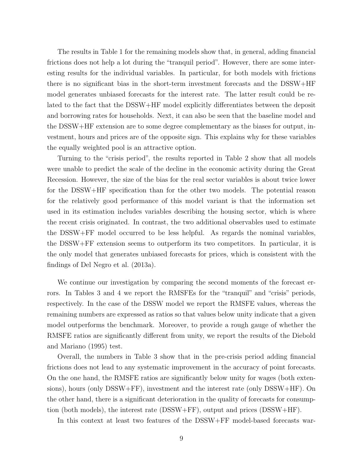The results in Table 1 for the remaining models show that, in general, adding financial frictions does not help a lot during the "tranquil period". However, there are some interesting results for the individual variables. In particular, for both models with frictions there is no significant bias in the short-term investment forecasts and the DSSW+HF model generates unbiased forecasts for the interest rate. The latter result could be related to the fact that the DSSW+HF model explicitly differentiates between the deposit and borrowing rates for households. Next, it can also be seen that the baseline model and the DSSW+HF extension are to some degree complementary as the biases for output, investment, hours and prices are of the opposite sign. This explains why for these variables the equally weighted pool is an attractive option.

Turning to the "crisis period", the results reported in Table 2 show that all models were unable to predict the scale of the decline in the economic activity during the Great Recession. However, the size of the bias for the real sector variables is about twice lower for the DSSW+HF specification than for the other two models. The potential reason for the relatively good performance of this model variant is that the information set used in its estimation includes variables describing the housing sector, which is where the recent crisis originated. In contrast, the two additional observables used to estimate the DSSW+FF model occurred to be less helpful. As regards the nominal variables, the DSSW+FF extension seems to outperform its two competitors. In particular, it is the only model that generates unbiased forecasts for prices, which is consistent with the findings of Del Negro et al. (2013a).

We continue our investigation by comparing the second moments of the forecast errors. In Tables 3 and 4 we report the RMSFEs for the "tranquil" and "crisis" periods, respectively. In the case of the DSSW model we report the RMSFE values, whereas the remaining numbers are expressed as ratios so that values below unity indicate that a given model outperforms the benchmark. Moreover, to provide a rough gauge of whether the RMSFE ratios are significantly different from unity, we report the results of the Diebold and Mariano (1995) test.

Overall, the numbers in Table 3 show that in the pre-crisis period adding financial frictions does not lead to any systematic improvement in the accuracy of point forecasts. On the one hand, the RMSFE ratios are significantly below unity for wages (both extensions), hours (only DSSW+FF), investment and the interest rate (only DSSW+HF). On the other hand, there is a significant deterioration in the quality of forecasts for consumption (both models), the interest rate (DSSW+FF), output and prices (DSSW+HF).

In this context at least two features of the DSSW+FF model-based forecasts war-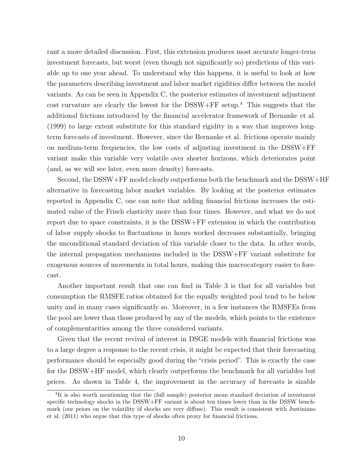rant a more detailed discussion. First, this extension produces most accurate longer-term investment forecasts, but worst (even though not significantly so) predictions of this variable up to one year ahead. To understand why this happens, it is useful to look at how the parameters describing investment and labor market rigidities differ between the model variants. As can be seen in Appendix C, the posterior estimates of investment adjustment cost curvature are clearly the lowest for the DSSW+FF setup.<sup>4</sup> This suggests that the additional frictions introduced by the financial accelerator framework of Bernanke et al. (1999) to large extent substitute for this standard rigidity in a way that improves longterm forecasts of investment. However, since the Bernanke et al. frictions operate mainly on medium-term frequencies, the low costs of adjusting investment in the DSSW+FF variant make this variable very volatile over shorter horizons, which deteriorates point (and, as we will see later, even more density) forecasts.

Second, the DSSW+FF model clearly outperforms both the benchmark and the DSSW+HF alternative in forecasting labor market variables. By looking at the posterior estimates reported in Appendix C, one can note that adding financial frictions increases the estimated value of the Frisch elasticity more than four times. However, and what we do not report due to space constraints, it is the DSSW+FF extension in which the contribution of labor supply shocks to fluctuations in hours worked decreases substantially, bringing the unconditional standard deviation of this variable closer to the data. In other words, the internal propagation mechanisms included in the DSSW+FF variant substitute for exogenous sources of movements in total hours, making this macrocategory easier to forecast.

Another important result that one can find in Table 3 is that for all variables but consumption the RMSFE ratios obtained for the equally weighted pool tend to be below unity and in many cases significantly so. Moreover, in a few instances the RMSFEs from the pool are lower than those produced by any of the models, which points to the existence of complementarities among the three considered variants.

Given that the recent revival of interest in DSGE models with financial frictions was to a large degree a response to the recent crisis, it might be expected that their forecasting performance should be especially good during the "crisis period". This is exactly the case for the DSSW+HF model, which clearly outperforms the benchmark for all variables but prices. As shown in Table 4, the improvement in the accuracy of forecasts is sizable

<sup>&</sup>lt;sup>4</sup>It is also worth mentioning that the (full sample) posterior mean standard deviation of investment specific technology shocks in the DSSW+FF variant is about ten times lower than in the DSSW benchmark (our priors on the volatility of shocks are very diffuse). This result is consistent with Justiniano et al. (2011) who argue that this type of shocks often proxy for financial frictions.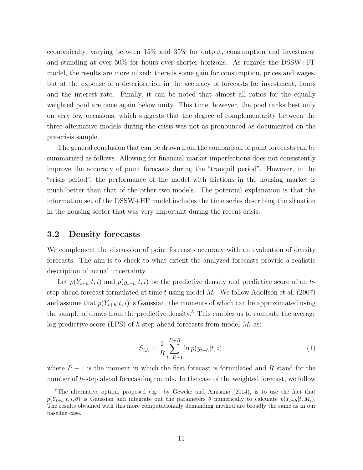economically, varying between 15% and 35% for output, consumption and investment and standing at over 50% for hours over shorter horizons. As regards the DSSW+FF model, the results are more mixed: there is some gain for consumption, prices and wages, but at the expense of a deterioration in the accuracy of forecasts for investment, hours and the interest rate. Finally, it can be noted that almost all ratios for the equally weighted pool are once again below unity. This time, however, the pool ranks best only on very few occasions, which suggests that the degree of complementarity between the three alternative models during the crisis was not as pronounced as documented on the pre-crisis sample.

The general conclusion that can be drawn from the comparison of point forecasts can be summarized as follows. Allowing for financial market imperfections does not consistently improve the accuracy of point forecasts during the "tranquil period". However, in the "crisis period", the performance of the model with frictions in the housing market is much better than that of the other two models. The potential explanation is that the information set of the DSSW+HF model includes the time series describing the situation in the housing sector that was very important during the recent crisis.

#### **3.2 Density forecasts**

We complement the discussion of point forecasts accuracy with an evaluation of density forecasts. The aim is to check to what extent the analyzed forecasts provide a realistic description of actual uncertainty.

Let  $p(Y_{t+h}|t, i)$  and  $p(y_{t+h}|t, i)$  be the predictive density and predictive score of an *h*step ahead forecast formulated at time *t* using model *M<sup>i</sup>* . We follow Adolfson et al. (2007) and assume that  $p(Y_{t+h}|t, i)$  is Gaussian, the moments of which can be approximated using the sample of draws from the predictive density.<sup>5</sup> This enables us to compute the average log predictive score (LPS) of *h*-step ahead forecasts from model *M<sup>i</sup>* as:

$$
S_{i,h} = \frac{1}{R} \sum_{t=P+1}^{P+R} \ln p(y_{t+h}|t,i).
$$
 (1)

where  $P+1$  is the moment in which the first forecast is formulated and  $R$  stand for the number of *h*-step ahead forecasting rounds. In the case of the weighted forecast, we follow

<sup>5</sup>The alternative option, proposed e.g. by Geweke and Amisano (2014), is to use the fact that  $p(Y_{t+h}|t, i, \theta)$  is Gaussian and integrate out the parameters  $\theta$  numerically to calculate  $p(Y_{t+h}|t, M_i)$ . The results obtained with this more computationally demanding method are broadly the same as in our baseline case.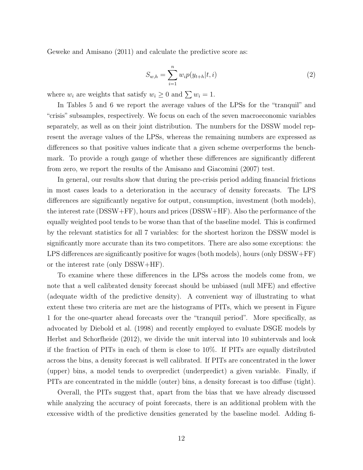Geweke and Amisano (2011) and calculate the predictive score as:

$$
S_{w,h} = \sum_{i=1}^{n} w_i p(y_{t+h}|t,i)
$$
 (2)

where  $w_i$  are weights that satisfy  $w_i \geq 0$  and  $\sum w_i = 1$ .

In Tables 5 and 6 we report the average values of the LPSs for the "tranquil" and "crisis" subsamples, respectively. We focus on each of the seven macroeconomic variables separately, as well as on their joint distribution. The numbers for the DSSW model represent the average values of the LPSs, whereas the remaining numbers are expressed as differences so that positive values indicate that a given scheme overperforms the benchmark. To provide a rough gauge of whether these differences are significantly different from zero, we report the results of the Amisano and Giacomini (2007) test.

In general, our results show that during the pre-crisis period adding financial frictions in most cases leads to a deterioration in the accuracy of density forecasts. The LPS differences are significantly negative for output, consumption, investment (both models), the interest rate (DSSW+FF), hours and prices (DSSW+HF). Also the performance of the equally weighted pool tends to be worse than that of the baseline model. This is confirmed by the relevant statistics for all 7 variables: for the shortest horizon the DSSW model is significantly more accurate than its two competitors. There are also some exceptions: the LPS differences are significantly positive for wages (both models), hours (only DSSW+FF) or the interest rate (only DSSW+HF).

To examine where these differences in the LPSs across the models come from, we note that a well calibrated density forecast should be unbiased (null MFE) and effective (adequate width of the predictive density). A convenient way of illustrating to what extent these two criteria are met are the histograms of PITs, which we present in Figure 1 for the one-quarter ahead forecasts over the "tranquil period". More specifically, as advocated by Diebold et al. (1998) and recently employed to evaluate DSGE models by Herbst and Schorfheide (2012), we divide the unit interval into 10 subintervals and look if the fraction of PITs in each of them is close to 10%. If PITs are equally distributed across the bins, a density forecast is well calibrated. If PITs are concentrated in the lower (upper) bins, a model tends to overpredict (underpredict) a given variable. Finally, if PITs are concentrated in the middle (outer) bins, a density forecast is too diffuse (tight).

Overall, the PITs suggest that, apart from the bias that we have already discussed while analyzing the accuracy of point forecasts, there is an additional problem with the excessive width of the predictive densities generated by the baseline model. Adding fi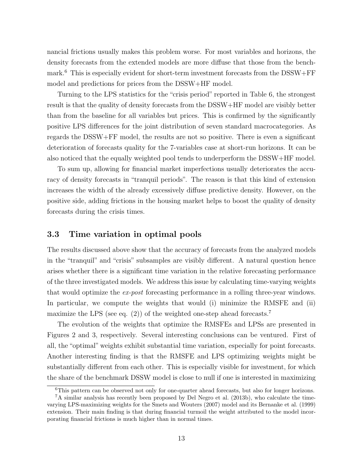nancial frictions usually makes this problem worse. For most variables and horizons, the density forecasts from the extended models are more diffuse that those from the benchmark.<sup>6</sup> This is especially evident for short-term investment forecasts from the DSSW+FF model and predictions for prices from the DSSW+HF model.

Turning to the LPS statistics for the "crisis period" reported in Table 6, the strongest result is that the quality of density forecasts from the DSSW+HF model are visibly better than from the baseline for all variables but prices. This is confirmed by the significantly positive LPS differences for the joint distribution of seven standard macrocategories. As regards the DSSW+FF model, the results are not so positive. There is even a significant deterioration of forecasts quality for the 7-variables case at short-run horizons. It can be also noticed that the equally weighted pool tends to underperform the DSSW+HF model.

To sum up, allowing for financial market imperfections usually deteriorates the accuracy of density forecasts in "tranquil periods". The reason is that this kind of extension increases the width of the already excessively diffuse predictive density. However, on the positive side, adding frictions in the housing market helps to boost the quality of density forecasts during the crisis times.

#### **3.3 Time variation in optimal pools**

The results discussed above show that the accuracy of forecasts from the analyzed models in the "tranquil" and "crisis" subsamples are visibly different. A natural question hence arises whether there is a significant time variation in the relative forecasting performance of the three investigated models. We address this issue by calculating time-varying weights that would optimize the *ex-post* forecasting performance in a rolling three-year windows. In particular, we compute the weights that would (i) minimize the RMSFE and (ii) maximize the LPS (see eq.  $(2)$ ) of the weighted one-step ahead forecasts.<sup>7</sup>

The evolution of the weights that optimize the RMSFEs and LPSs are presented in Figures 2 and 3, respectively. Several interesting conclusions can be ventured. First of all, the "optimal" weights exhibit substantial time variation, especially for point forecasts. Another interesting finding is that the RMSFE and LPS optimizing weights might be substantially different from each other. This is especially visible for investment, for which the share of the benchmark DSSW model is close to null if one is interested in maximizing

<sup>&</sup>lt;sup>6</sup>This pattern can be observed not only for one-quarter ahead forecasts, but also for longer horizons.

<sup>7</sup>A similar analysis has recently been proposed by Del Negro et al. (2013b), who calculate the timevarying LPS-maximizing weights for the Smets and Wouters (2007) model and its Bernanke et al. (1999) extension. Their main finding is that during financial turmoil the weight attributed to the model incorporating financial frictions is much higher than in normal times.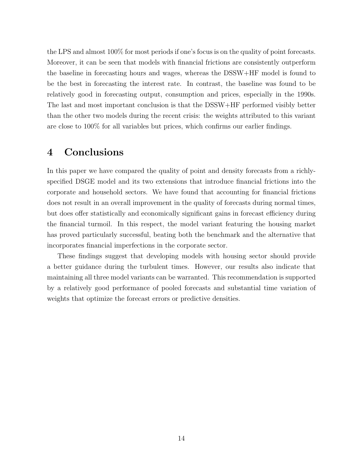the LPS and almost 100% for most periods if one's focus is on the quality of point forecasts. Moreover, it can be seen that models with financial frictions are consistently outperform the baseline in forecasting hours and wages, whereas the DSSW+HF model is found to be the best in forecasting the interest rate. In contrast, the baseline was found to be relatively good in forecasting output, consumption and prices, especially in the 1990s. The last and most important conclusion is that the DSSW+HF performed visibly better than the other two models during the recent crisis: the weights attributed to this variant are close to 100% for all variables but prices, which confirms our earlier findings.

## **4 Conclusions**

In this paper we have compared the quality of point and density forecasts from a richlyspecified DSGE model and its two extensions that introduce financial frictions into the corporate and household sectors. We have found that accounting for financial frictions does not result in an overall improvement in the quality of forecasts during normal times, but does offer statistically and economically significant gains in forecast efficiency during the financial turmoil. In this respect, the model variant featuring the housing market has proved particularly successful, beating both the benchmark and the alternative that incorporates financial imperfections in the corporate sector.

These findings suggest that developing models with housing sector should provide a better guidance during the turbulent times. However, our results also indicate that maintaining all three model variants can be warranted. This recommendation is supported by a relatively good performance of pooled forecasts and substantial time variation of weights that optimize the forecast errors or predictive densities.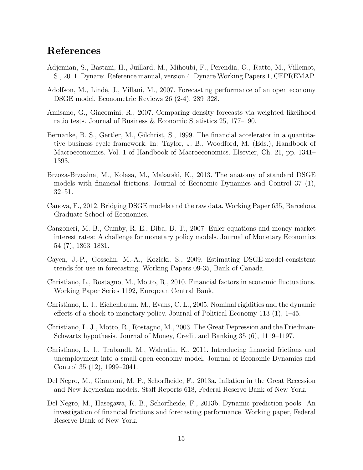## **References**

- Adjemian, S., Bastani, H., Juillard, M., Mihoubi, F., Perendia, G., Ratto, M., Villemot, S., 2011. Dynare: Reference manual, version 4. Dynare Working Papers 1, CEPREMAP.
- Adolfson, M., Lindé, J., Villani, M., 2007. Forecasting performance of an open economy DSGE model. Econometric Reviews 26 (2-4), 289–328.
- Amisano, G., Giacomini, R., 2007. Comparing density forecasts via weighted likelihood ratio tests. Journal of Business & Economic Statistics 25, 177–190.
- Bernanke, B. S., Gertler, M., Gilchrist, S., 1999. The financial accelerator in a quantitative business cycle framework. In: Taylor, J. B., Woodford, M. (Eds.), Handbook of Macroeconomics. Vol. 1 of Handbook of Macroeconomics. Elsevier, Ch. 21, pp. 1341– 1393.
- Brzoza-Brzezina, M., Kolasa, M., Makarski, K., 2013. The anatomy of standard DSGE models with financial frictions. Journal of Economic Dynamics and Control 37 (1), 32–51.
- Canova, F., 2012. Bridging DSGE models and the raw data. Working Paper 635, Barcelona Graduate School of Economics.
- Canzoneri, M. B., Cumby, R. E., Diba, B. T., 2007. Euler equations and money market interest rates: A challenge for monetary policy models. Journal of Monetary Economics 54 (7), 1863–1881.
- Cayen, J.-P., Gosselin, M.-A., Kozicki, S., 2009. Estimating DSGE-model-consistent trends for use in forecasting. Working Papers 09-35, Bank of Canada.
- Christiano, L., Rostagno, M., Motto, R., 2010. Financial factors in economic fluctuations. Working Paper Series 1192, European Central Bank.
- Christiano, L. J., Eichenbaum, M., Evans, C. L., 2005. Nominal rigidities and the dynamic effects of a shock to monetary policy. Journal of Political Economy 113 (1), 1–45.
- Christiano, L. J., Motto, R., Rostagno, M., 2003. The Great Depression and the Friedman-Schwartz hypothesis. Journal of Money, Credit and Banking 35 (6), 1119–1197.
- Christiano, L. J., Trabandt, M., Walentin, K., 2011. Introducing financial frictions and unemployment into a small open economy model. Journal of Economic Dynamics and Control 35 (12), 1999–2041.
- Del Negro, M., Giannoni, M. P., Schorfheide, F., 2013a. Inflation in the Great Recession and New Keynesian models. Staff Reports 618, Federal Reserve Bank of New York.
- Del Negro, M., Hasegawa, R. B., Schorfheide, F., 2013b. Dynamic prediction pools: An investigation of financial frictions and forecasting performance. Working paper, Federal Reserve Bank of New York.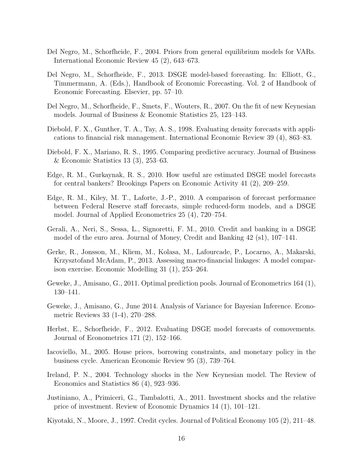- Del Negro, M., Schorfheide, F., 2004. Priors from general equilibrium models for VARs. International Economic Review 45 (2), 643–673.
- Del Negro, M., Schorfheide, F., 2013. DSGE model-based forecasting. In: Elliott, G., Timmermann, A. (Eds.), Handbook of Economic Forecasting. Vol. 2 of Handbook of Economic Forecasting. Elsevier, pp. 57–10.
- Del Negro, M., Schorfheide, F., Smets, F., Wouters, R., 2007. On the fit of new Keynesian models. Journal of Business & Economic Statistics 25, 123–143.
- Diebold, F. X., Gunther, T. A., Tay, A. S., 1998. Evaluating density forecasts with applications to financial risk management. International Economic Review 39 (4), 863–83.
- Diebold, F. X., Mariano, R. S., 1995. Comparing predictive accuracy. Journal of Business & Economic Statistics 13 (3), 253–63.
- Edge, R. M., Gurkaynak, R. S., 2010. How useful are estimated DSGE model forecasts for central bankers? Brookings Papers on Economic Activity 41 (2), 209–259.
- Edge, R. M., Kiley, M. T., Laforte, J.-P., 2010. A comparison of forecast performance between Federal Reserve staff forecasts, simple reduced-form models, and a DSGE model. Journal of Applied Econometrics 25 (4), 720–754.
- Gerali, A., Neri, S., Sessa, L., Signoretti, F. M., 2010. Credit and banking in a DSGE model of the euro area. Journal of Money, Credit and Banking 42 (s1), 107–141.
- Gerke, R., Jonsson, M., Kliem, M., Kolasa, M., Lafourcade, P., Locarno, A., Makarski, Krzysztofand McAdam, P., 2013. Assessing macro-financial linkages: A model comparison exercise. Economic Modelling 31 (1), 253–264.
- Geweke, J., Amisano, G., 2011. Optimal prediction pools. Journal of Econometrics 164 (1), 130–141.
- Geweke, J., Amisano, G., June 2014. Analysis of Variance for Bayesian Inference. Econometric Reviews 33 (1-4), 270–288.
- Herbst, E., Schorfheide, F., 2012. Evaluating DSGE model forecasts of comovements. Journal of Econometrics 171 (2), 152–166.
- Iacoviello, M., 2005. House prices, borrowing constraints, and monetary policy in the business cycle. American Economic Review 95 (3), 739–764.
- Ireland, P. N., 2004. Technology shocks in the New Keynesian model. The Review of Economics and Statistics 86 (4), 923–936.
- Justiniano, A., Primiceri, G., Tambalotti, A., 2011. Investment shocks and the relative price of investment. Review of Economic Dynamics 14 (1), 101–121.
- Kiyotaki, N., Moore, J., 1997. Credit cycles. Journal of Political Economy 105 (2), 211–48.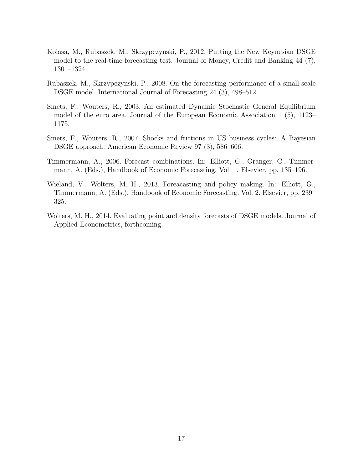- Kolasa, M., Rubaszek, M., Skrzypczynski, P., 2012. Putting the New Keynesian DSGE model to the real-time forecasting test. Journal of Money, Credit and Banking 44 (7), 1301–1324.
- Rubaszek, M., Skrzypczynski, P., 2008. On the forecasting performance of a small-scale DSGE model. International Journal of Forecasting 24 (3), 498–512.
- Smets, F., Wouters, R., 2003. An estimated Dynamic Stochastic General Equilibrium model of the euro area. Journal of the European Economic Association 1 (5), 1123– 1175.
- Smets, F., Wouters, R., 2007. Shocks and frictions in US business cycles: A Bayesian DSGE approach. American Economic Review 97 (3), 586–606.
- Timmermann, A., 2006. Forecast combinations. In: Elliott, G., Granger, C., Timmermann, A. (Eds.), Handbook of Economic Forecasting. Vol. 1. Elsevier, pp. 135–196.
- Wieland, V., Wolters, M. H., 2013. Foreacasting and policy making. In: Elliott, G., Timmermann, A. (Eds.), Handbook of Economic Forecasting. Vol. 2. Elsevier, pp. 239– 325.
- Wolters, M. H., 2014. Evaluating point and density forecasts of DSGE models. Journal of Applied Econometrics, forthcoming.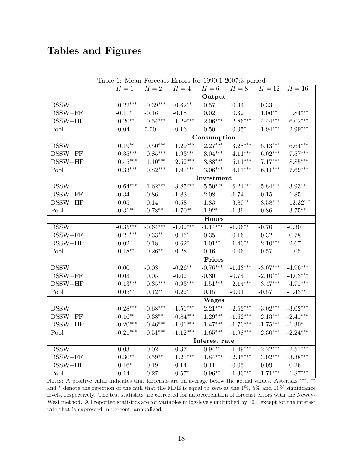# **Tables and Figures**

| $H=2$<br>$H=16$<br>$H=1$<br>$H=4$<br>$H=8$<br>$H=12$<br>$H=6$<br>Output<br>$-0.39***$<br><b>DSSW</b><br>$-0.22***$<br>$-0.62**$<br>0.33<br>$-0.34$<br>1.11<br>$-0.57$<br>$1.06***$<br>$1.84***$<br>$DSSW + FF$<br>$-0.11*$<br>0.02<br>0.32<br>$-0.16$<br>$-0.18$<br>$2.86***$<br>$0.20**$<br>$0.54***$<br>$1.29***$<br>$2.06***$<br>$4.44***$<br>$6.02***$<br>$DSSW+HF$<br>$2.99***$<br>$1.94***$<br>Pool<br>$-0.04$<br>0.00<br>0.16<br>$0.95*$<br>0.50<br>Consumption<br>$2.27***$<br>$0.50***$<br>$1.29***$<br>$3.28***$<br>$5.13***$<br>$6.64***$<br>$0.19***$<br><b>DSSW</b><br>$3.04***$<br>$0.85***$<br>$4.11***$<br>$6.02***$<br>$7.57***$<br>$0.35***$<br>$1.93***$<br>$DSSW + FF$<br>$1.10***$<br>$2.52***$<br>$3.88***$<br>$5.11***$<br>$7.17***$<br>$8.85***$<br>$0.45***$<br>$DSSW+HF$<br>$0.33***$<br>$0.82***$<br>$1.91***$<br>$3.06***$<br>$4.17***$<br>$6.11***$<br>$7.69***$<br>Pool<br>Investment<br>$-5.50***$<br>$-6.24***$<br><b>DSSW</b><br>$-1.62***$<br>$-3.85***$<br>$-5.84***$<br>$-3.93**$<br>$-0.64***$<br>$DSSW + FF$<br>$-0.34$<br>$-0.86$<br>$-1.83$<br>$-2.08$<br>$-1.74$<br>$-0.15$<br>1.85<br>$3.80**$<br>$8.58***$<br>$13.32***$<br>0.14<br>0.58<br>1.83<br>$DSSW+HF$<br>0.05<br>$-0.31***$<br>$-0.78**$<br>$-1.70**$<br>$-1.92*$<br>$3.75***$<br>Pool<br>$-1.39$<br>0.86<br>Hours<br><b>DSSW</b><br>$-0.64***$<br>$-1.02***$<br>$-1.14***$<br>$-0.35***$<br>$-1.06**$<br>$-0.30$<br>$-0.70$<br>0.32<br>$DSSW + FF$<br>$-0.21***$<br>$-0.45*$<br>$-0.35$<br>$-0.16$<br>0.78<br>$-0.33**$<br>$1.01**$<br>$1.40**$<br>$2.10***$<br>$DSSW+HF$<br>0.02<br>0.18<br>$0.62*$<br>2.67<br>$-0.18**$<br>$-0.26***$<br>Pool<br>$-0.28$<br>1.05<br>$-0.16$<br>0.06<br>0.57<br>Prices |
|-------------------------------------------------------------------------------------------------------------------------------------------------------------------------------------------------------------------------------------------------------------------------------------------------------------------------------------------------------------------------------------------------------------------------------------------------------------------------------------------------------------------------------------------------------------------------------------------------------------------------------------------------------------------------------------------------------------------------------------------------------------------------------------------------------------------------------------------------------------------------------------------------------------------------------------------------------------------------------------------------------------------------------------------------------------------------------------------------------------------------------------------------------------------------------------------------------------------------------------------------------------------------------------------------------------------------------------------------------------------------------------------------------------------------------------------------------------------------------------------------------------------------------------------------------------------------------------------------------------------------------------------------------------------------------------------------------------|
|                                                                                                                                                                                                                                                                                                                                                                                                                                                                                                                                                                                                                                                                                                                                                                                                                                                                                                                                                                                                                                                                                                                                                                                                                                                                                                                                                                                                                                                                                                                                                                                                                                                                                                             |
|                                                                                                                                                                                                                                                                                                                                                                                                                                                                                                                                                                                                                                                                                                                                                                                                                                                                                                                                                                                                                                                                                                                                                                                                                                                                                                                                                                                                                                                                                                                                                                                                                                                                                                             |
|                                                                                                                                                                                                                                                                                                                                                                                                                                                                                                                                                                                                                                                                                                                                                                                                                                                                                                                                                                                                                                                                                                                                                                                                                                                                                                                                                                                                                                                                                                                                                                                                                                                                                                             |
|                                                                                                                                                                                                                                                                                                                                                                                                                                                                                                                                                                                                                                                                                                                                                                                                                                                                                                                                                                                                                                                                                                                                                                                                                                                                                                                                                                                                                                                                                                                                                                                                                                                                                                             |
|                                                                                                                                                                                                                                                                                                                                                                                                                                                                                                                                                                                                                                                                                                                                                                                                                                                                                                                                                                                                                                                                                                                                                                                                                                                                                                                                                                                                                                                                                                                                                                                                                                                                                                             |
|                                                                                                                                                                                                                                                                                                                                                                                                                                                                                                                                                                                                                                                                                                                                                                                                                                                                                                                                                                                                                                                                                                                                                                                                                                                                                                                                                                                                                                                                                                                                                                                                                                                                                                             |
|                                                                                                                                                                                                                                                                                                                                                                                                                                                                                                                                                                                                                                                                                                                                                                                                                                                                                                                                                                                                                                                                                                                                                                                                                                                                                                                                                                                                                                                                                                                                                                                                                                                                                                             |
|                                                                                                                                                                                                                                                                                                                                                                                                                                                                                                                                                                                                                                                                                                                                                                                                                                                                                                                                                                                                                                                                                                                                                                                                                                                                                                                                                                                                                                                                                                                                                                                                                                                                                                             |
|                                                                                                                                                                                                                                                                                                                                                                                                                                                                                                                                                                                                                                                                                                                                                                                                                                                                                                                                                                                                                                                                                                                                                                                                                                                                                                                                                                                                                                                                                                                                                                                                                                                                                                             |
|                                                                                                                                                                                                                                                                                                                                                                                                                                                                                                                                                                                                                                                                                                                                                                                                                                                                                                                                                                                                                                                                                                                                                                                                                                                                                                                                                                                                                                                                                                                                                                                                                                                                                                             |
|                                                                                                                                                                                                                                                                                                                                                                                                                                                                                                                                                                                                                                                                                                                                                                                                                                                                                                                                                                                                                                                                                                                                                                                                                                                                                                                                                                                                                                                                                                                                                                                                                                                                                                             |
|                                                                                                                                                                                                                                                                                                                                                                                                                                                                                                                                                                                                                                                                                                                                                                                                                                                                                                                                                                                                                                                                                                                                                                                                                                                                                                                                                                                                                                                                                                                                                                                                                                                                                                             |
|                                                                                                                                                                                                                                                                                                                                                                                                                                                                                                                                                                                                                                                                                                                                                                                                                                                                                                                                                                                                                                                                                                                                                                                                                                                                                                                                                                                                                                                                                                                                                                                                                                                                                                             |
|                                                                                                                                                                                                                                                                                                                                                                                                                                                                                                                                                                                                                                                                                                                                                                                                                                                                                                                                                                                                                                                                                                                                                                                                                                                                                                                                                                                                                                                                                                                                                                                                                                                                                                             |
|                                                                                                                                                                                                                                                                                                                                                                                                                                                                                                                                                                                                                                                                                                                                                                                                                                                                                                                                                                                                                                                                                                                                                                                                                                                                                                                                                                                                                                                                                                                                                                                                                                                                                                             |
|                                                                                                                                                                                                                                                                                                                                                                                                                                                                                                                                                                                                                                                                                                                                                                                                                                                                                                                                                                                                                                                                                                                                                                                                                                                                                                                                                                                                                                                                                                                                                                                                                                                                                                             |
|                                                                                                                                                                                                                                                                                                                                                                                                                                                                                                                                                                                                                                                                                                                                                                                                                                                                                                                                                                                                                                                                                                                                                                                                                                                                                                                                                                                                                                                                                                                                                                                                                                                                                                             |
|                                                                                                                                                                                                                                                                                                                                                                                                                                                                                                                                                                                                                                                                                                                                                                                                                                                                                                                                                                                                                                                                                                                                                                                                                                                                                                                                                                                                                                                                                                                                                                                                                                                                                                             |
|                                                                                                                                                                                                                                                                                                                                                                                                                                                                                                                                                                                                                                                                                                                                                                                                                                                                                                                                                                                                                                                                                                                                                                                                                                                                                                                                                                                                                                                                                                                                                                                                                                                                                                             |
|                                                                                                                                                                                                                                                                                                                                                                                                                                                                                                                                                                                                                                                                                                                                                                                                                                                                                                                                                                                                                                                                                                                                                                                                                                                                                                                                                                                                                                                                                                                                                                                                                                                                                                             |
|                                                                                                                                                                                                                                                                                                                                                                                                                                                                                                                                                                                                                                                                                                                                                                                                                                                                                                                                                                                                                                                                                                                                                                                                                                                                                                                                                                                                                                                                                                                                                                                                                                                                                                             |
|                                                                                                                                                                                                                                                                                                                                                                                                                                                                                                                                                                                                                                                                                                                                                                                                                                                                                                                                                                                                                                                                                                                                                                                                                                                                                                                                                                                                                                                                                                                                                                                                                                                                                                             |
| $-0.76***$<br>$-3.07***$<br>$-4.96***$<br><b>DSSW</b><br>$-0.26**$<br>$-1.43***$<br>0.00<br>$-0.03$                                                                                                                                                                                                                                                                                                                                                                                                                                                                                                                                                                                                                                                                                                                                                                                                                                                                                                                                                                                                                                                                                                                                                                                                                                                                                                                                                                                                                                                                                                                                                                                                         |
| $DSSW + FF$<br>$-0.30$<br>$-2.10***$<br>$-4.03***$<br>$0.03\,$<br>$0.05\,$<br>$-0.02$<br>$-0.74$                                                                                                                                                                                                                                                                                                                                                                                                                                                                                                                                                                                                                                                                                                                                                                                                                                                                                                                                                                                                                                                                                                                                                                                                                                                                                                                                                                                                                                                                                                                                                                                                            |
| $0.93***$<br>$DSSW+HF$<br>$0.13***$<br>$0.35***$<br>$1.51***$<br>$2.14***$<br>$3.47***$<br>$4.71***$                                                                                                                                                                                                                                                                                                                                                                                                                                                                                                                                                                                                                                                                                                                                                                                                                                                                                                                                                                                                                                                                                                                                                                                                                                                                                                                                                                                                                                                                                                                                                                                                        |
| $0.05***$<br>$0.12**$<br>Pool<br>$0.22*$<br>0.15<br>$-1.43**$<br>$-0.01$<br>$-0.57$                                                                                                                                                                                                                                                                                                                                                                                                                                                                                                                                                                                                                                                                                                                                                                                                                                                                                                                                                                                                                                                                                                                                                                                                                                                                                                                                                                                                                                                                                                                                                                                                                         |
| <b>Wages</b>                                                                                                                                                                                                                                                                                                                                                                                                                                                                                                                                                                                                                                                                                                                                                                                                                                                                                                                                                                                                                                                                                                                                                                                                                                                                                                                                                                                                                                                                                                                                                                                                                                                                                                |
| $-2.21***$<br>$-0.28***$<br>$-0.68***$<br>$-1.51***$<br>$-2.62***$<br>$-3.02***$<br>$-3.02***$<br><b>DSSW</b>                                                                                                                                                                                                                                                                                                                                                                                                                                                                                                                                                                                                                                                                                                                                                                                                                                                                                                                                                                                                                                                                                                                                                                                                                                                                                                                                                                                                                                                                                                                                                                                               |
| $-0.38**$<br>$-0.84***$<br>$-1.29***$<br>$-1.62***$<br>$-2.13***$<br>$-2.41***$<br>$DSSW + FF$<br>$-0.16**$                                                                                                                                                                                                                                                                                                                                                                                                                                                                                                                                                                                                                                                                                                                                                                                                                                                                                                                                                                                                                                                                                                                                                                                                                                                                                                                                                                                                                                                                                                                                                                                                 |
| $-1.47***$<br>$-1.70***$<br>$-1.75***$<br>$DSSW+HF$<br>$-0.20***$<br>$-0.46***$<br>$-1.01***$<br>$-1.30*$                                                                                                                                                                                                                                                                                                                                                                                                                                                                                                                                                                                                                                                                                                                                                                                                                                                                                                                                                                                                                                                                                                                                                                                                                                                                                                                                                                                                                                                                                                                                                                                                   |
| $-2.30***$<br>$-2.24***$<br>$-0.21***$<br>$-0.51***$<br>$-1.12***$<br>$-1.65***$<br>$-1.98***$<br>Pool                                                                                                                                                                                                                                                                                                                                                                                                                                                                                                                                                                                                                                                                                                                                                                                                                                                                                                                                                                                                                                                                                                                                                                                                                                                                                                                                                                                                                                                                                                                                                                                                      |
| Interest rate                                                                                                                                                                                                                                                                                                                                                                                                                                                                                                                                                                                                                                                                                                                                                                                                                                                                                                                                                                                                                                                                                                                                                                                                                                                                                                                                                                                                                                                                                                                                                                                                                                                                                               |
| $-0.94**$<br>$-1.49***$<br>$-2.22***$<br>$-2.51***$<br><b>DSSW</b><br>$-0.37$<br>$-0.02$<br>0.03                                                                                                                                                                                                                                                                                                                                                                                                                                                                                                                                                                                                                                                                                                                                                                                                                                                                                                                                                                                                                                                                                                                                                                                                                                                                                                                                                                                                                                                                                                                                                                                                            |
| $-0.59**$<br>$-1.21***$<br>$-1.84***$<br>$-3.02***$<br>$-3.38***$<br>$-0.30**$<br>$-2.35***$<br>$DSSW + FF$                                                                                                                                                                                                                                                                                                                                                                                                                                                                                                                                                                                                                                                                                                                                                                                                                                                                                                                                                                                                                                                                                                                                                                                                                                                                                                                                                                                                                                                                                                                                                                                                 |
| $DSSW+HF$<br>$-0.16*$<br>$-0.19$<br>$-0.14$<br>$-0.05$<br>0.09<br>0.26<br>$-0.11$                                                                                                                                                                                                                                                                                                                                                                                                                                                                                                                                                                                                                                                                                                                                                                                                                                                                                                                                                                                                                                                                                                                                                                                                                                                                                                                                                                                                                                                                                                                                                                                                                           |
| $-1.71***$<br>$-1.87***$<br>$-1.30***$<br>$-0.57*$<br>$-0.96**$<br>Pool<br>$-0.14$<br>$-0.27$                                                                                                                                                                                                                                                                                                                                                                                                                                                                                                                                                                                                                                                                                                                                                                                                                                                                                                                                                                                                                                                                                                                                                                                                                                                                                                                                                                                                                                                                                                                                                                                                               |

Table 1: Mean Forecast Errors for 1990:1-2007:3 period

Notes: A positive value indicates that forecasts are on average below the actual values. Asterisks *∗∗∗* , *∗∗* and *<sup>∗</sup>* denote the rejection of the null that the MFE is equal to zero at the 1%, 5% and 10% significance levels, respectively. The test statistics are corrected for autocorrelation of forecast errors with the Newey-West method. All reported statistics are for variables in log-levels multiplied by 100, except for the interest rate that is expressed in percent, annualized.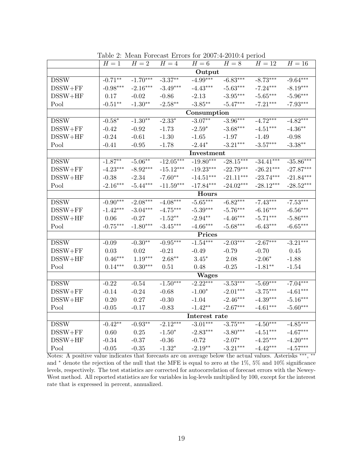|                            | $H=1$        | $H=2$          | $H=4$       | $H=6$         | $H=8$       | $H=12$      | $H=16$      |  |  |  |
|----------------------------|--------------|----------------|-------------|---------------|-------------|-------------|-------------|--|--|--|
|                            |              |                |             | Output        |             |             |             |  |  |  |
| <b>DSSW</b>                | $-0.71**$    | $-1.70***$     | $-3.37**$   | $-4.99***$    | $-6.83***$  | $-8.73***$  | $-9.64***$  |  |  |  |
| $DSSW + FF$                | $-0.98***$   | $-2.16***$     | $-3.49***$  | $-4.43***$    | $-5.63***$  | $-7.24***$  | $-8.19***$  |  |  |  |
| $DSSW+HF$                  | 0.17         | $-0.02$        | $-0.86$     | $-2.13$       | $-3.95***$  | $-5.65***$  | $-5.96***$  |  |  |  |
| Pool                       | $-0.51**$    | $-1.30**$      | $-2.58**$   | $-3.85***$    | $-5.47***$  | $-7.21***$  | $-7.93***$  |  |  |  |
|                            |              |                |             | Consumption   |             |             |             |  |  |  |
| <b>DSSW</b>                | $-0.58*$     | $-1.30**$      | $-2.33*$    | $-3.07**$     | $-3.96***$  | $-4.72***$  | $-4.82***$  |  |  |  |
| $DSSW + FF$                | $-0.42$      | $-0.92$        | $-1.73$     | $-2.59*$      | $-3.68***$  | $-4.51***$  | $-4.36**$   |  |  |  |
| $DSSW+HF$                  | $-0.24$      | $-0.61$        | $-1.30$     | $-1.65$       | $-1.97$     | $-1.49$     | $-0.98$     |  |  |  |
| Pool                       | $-0.41$      | $-0.95$        | $-1.78$     | $-2.44*$      | $-3.21***$  | $-3.57***$  | $-3.38**$   |  |  |  |
|                            |              | Investment     |             |               |             |             |             |  |  |  |
| <b>DSSW</b>                | $-1.87**$    | $-5.06**$      | $-12.05***$ | $-19.80***$   | $-28.15***$ | $-34.41***$ | $-35.86***$ |  |  |  |
| $DSSW + FF$                | $-4.23***$   | $-8.92***$     | $-15.12***$ | $-19.23***$   | $-22.79***$ | $-26.21***$ | $-27.87***$ |  |  |  |
| $DSSW+HF$                  | $-0.38$      | $-2.34$        | $-7.60**$   | $-14.51***$   | $-21.11***$ | $-23.74***$ | $-21.84***$ |  |  |  |
| Pool                       | $-2.16***$   | $-5.44***$     | $-11.59***$ | $-17.84***$   | $-24.02***$ | $-28.12***$ | $-28.52***$ |  |  |  |
|                            | <b>Hours</b> |                |             |               |             |             |             |  |  |  |
| <b>DSSW</b>                | $-0.90***$   | $-2.08***$     | $-4.08***$  | $-5.65***$    | $-6.82***$  | $-7.43***$  | $-7.53***$  |  |  |  |
| $DSSW + FF$                | $-1.42***$   | $-3.04***$     | $-4.75***$  | $-5.39***$    | $-5.76***$  | $-6.16***$  | $-6.56***$  |  |  |  |
| $DSSW+HF$                  | 0.06         | $-0.27$        | $-1.52**$   | $-2.94**$     | $-4.46***$  | $-5.71***$  | $-5.86***$  |  |  |  |
| Pool                       | $-0.75***$   | $-1.80***$     | $-3.45***$  | $-4.66***$    | $-5.68***$  | $-6.43***$  | $-6.65***$  |  |  |  |
|                            |              |                |             | Prices        |             |             |             |  |  |  |
| <b>DSSW</b>                | $-0.09$      | $-0.30**$      | $-0.95***$  | $-1.54***$    | $-2.03***$  | $-2.67***$  | $-3.21***$  |  |  |  |
| $DSSW + FF$                | 0.03         | 0.02           | $-0.21$     | $-0.49$       | $-0.79$     | $-0.70$     | 0.45        |  |  |  |
| $DSSW+HF$                  | $0.46***$    | $1.19***$      | $2.68***$   | $3.45*$       | 2.08        | $-2.06*$    | $-1.88$     |  |  |  |
| Pool                       | $0.14***$    | $0.30***$      | 0.51        | 0.48          | $-0.25$     | $-1.81**$   | $-1.54$     |  |  |  |
|                            |              |                |             | <b>Wages</b>  |             |             |             |  |  |  |
| <b>DSSW</b>                | $-0.22$      | $-0.54$        | $-1.50***$  | $-2.22***$    | $-3.53***$  | $-5.69***$  | $-7.04***$  |  |  |  |
| $DSSW + FF$                | $-0.14$      | $-0.24$        | $-0.68$     | $-1.00*$      | $-2.01***$  | $-3.75***$  | $-4.61***$  |  |  |  |
| $DSSW+HF$                  | 0.20         | 0.27           | $-0.30$     | $-1.04$       | $-2.46***$  | $-4.39***$  | $-5.16***$  |  |  |  |
| Pool                       | $-0.05$      | $-0.17$        | $-0.83$     | $-1.42**$     | $-2.67***$  | $-4.61***$  | $-5.60***$  |  |  |  |
|                            |              |                |             | Interest rate |             |             |             |  |  |  |
| $\overline{\mathrm{DSSW}}$ | $-0.42**$    | $-0.93**$      | $-2.12***$  | $-3.01***$    | $-3.75***$  | $-4.50***$  | $-4.85***$  |  |  |  |
| $DSSW + FF$                | 0.60         | 0.25           | $-1.50*$    | $-2.83***$    | $-3.80***$  | $-4.51***$  | $-4.67***$  |  |  |  |
| $DSSW+HF$                  | $-0.34$      | $-0.37$        | $-0.36$     | $-0.72$       | $-2.07*$    | $-4.25***$  | $-4.20***$  |  |  |  |
| Pool                       | $-0.05$      | $\text{-}0.35$ | $-1.32*$    | $-2.19**$     | $-3.21***$  | $-4.42***$  | $-4.57***$  |  |  |  |

Table 2: Mean Forecast Errors for 2007:4-2010:4 period

Notes: A positive value indicates that forecasts are on average below the actual values. Asterisks *∗∗∗* , *∗∗* and *<sup>∗</sup>* denote the rejection of the null that the MFE is equal to zero at the 1%, 5% and 10% significance levels, respectively. The test statistics are corrected for autocorrelation of forecast errors with the Newey-West method. All reported statistics are for variables in log-levels multiplied by 100, except for the interest rate that is expressed in percent, annualized.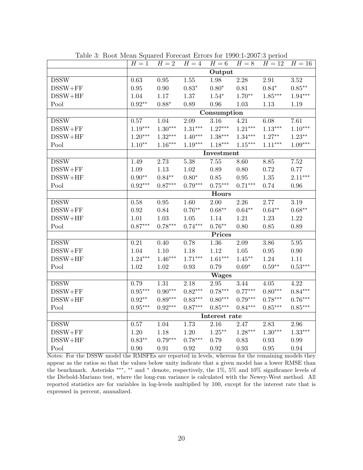|                            | $H=1$                 | $H=2$     | $H=4$             | $H=6$                 | $H=8$      | $H=12$            | $H=16$            |  |
|----------------------------|-----------------------|-----------|-------------------|-----------------------|------------|-------------------|-------------------|--|
|                            |                       |           |                   | Output                |            |                   |                   |  |
| <b>DSSW</b>                | 0.63                  | $0.95\,$  | 1.55              | 1.98                  | $2.28\,$   | 2.91              | 3.52              |  |
| $DSSW + FF$                | 0.95                  | $0.90\,$  | $0.83*$           | $0.80*$               | 0.81       | $0.84*$           | $0.85***$         |  |
| $DSSW+HF$                  | 1.04                  | 1.17      | $1.37\,$          | $1.54*$               | $1.70**$   | $1.85^{***}\,$    | $1.94***$         |  |
| Pool                       | $0.92**$              | $0.88*$   | 0.89              | 0.96                  | 1.03       | 1.13              | 1.19              |  |
|                            |                       |           |                   | Consumption           |            |                   |                   |  |
| <b>DSSW</b>                | 0.57                  | 1.04      | 2.09              | 3.16                  | 4.21       | 6.08              | 7.61              |  |
| $DSSW + FF$                | $1.19***$             | $1.30***$ | $1.31***$         | $1.27***$             | $1.21***$  | $1.13***$         | $1.10***$         |  |
| $DSSW+HF$                  | $1.20***$             | $1.32***$ | $1.40***$         | $1.38^{\ast\ast\ast}$ | $1.34***$  | $1.27***$         | $1.23^{\ast\ast}$ |  |
| Pool                       | $1.10**$              | $1.16***$ | $1.19***$         | $1.18***$             | $1.15***$  | $1.11***$         | $1.09***$         |  |
|                            |                       |           |                   | Investment            |            |                   |                   |  |
| <b>DSSW</b>                | 1.49                  | 2.73      | 5.38              | $7.55\,$              | 8.60       | 8.85              | 7.52              |  |
| $DSSW + FF$                | 1.09                  | 1.13      | 1.02              | 0.89                  | $0.80\,$   | 0.72              | 0.77              |  |
| $DSSW+HF$                  | $0.90**$              | $0.84**$  | $0.80*$           | 0.85                  | $0.95\,$   | 1.35              | $2.11***$         |  |
| Pool                       | $0.92^{\ast\ast\ast}$ | $0.87***$ | $0.79***$         | $0.75***$             | $0.71***$  | 0.74              | 0.96              |  |
|                            | Hours                 |           |                   |                       |            |                   |                   |  |
| $\overline{\mathrm{DSSW}}$ | 0.58                  | $0.95\,$  | $\overline{1.60}$ | 2.00                  | 2.26       | 2.77              | 3.19              |  |
| $DSSW + FF$                | 0.92                  | 0.84      | $0.76**$          | $0.68**$              | $0.64**$   | $0.64**$          | $0.68**$          |  |
| $DSSW+HF$                  | 1.01                  | 1.03      | 1.05              | 1.14                  | 1.21       | 1.23              | 1.22              |  |
| Pool                       | $0.87***$             | $0.78***$ | $0.74***$         | $0.76***$             | 0.80       | 0.85              | 0.89              |  |
|                            |                       |           |                   | Prices                |            |                   |                   |  |
| <b>DSSW</b>                | 0.21                  | 0.40      | 0.78              | $\overline{1.36}$     | 2.09       | 3.86              | 5.95              |  |
| $DSSW + FF$                | 1.04                  | $1.10\,$  | 1.18              | $1.12\,$              | $1.05\,$   | $0.95\,$          | 0.90              |  |
| $DSSW+HF$                  | $1.24***$             | $1.46***$ | $1.71***$         | $1.61***$             | $1.45***$  | 1.24              | 1.11              |  |
| Pool                       | 1.02                  | 1.02      | 0.93              | 0.79                  | $0.69*$    | $0.59^{\ast\ast}$ | $0.53***$         |  |
|                            |                       |           |                   | <b>Wages</b>          |            |                   |                   |  |
| <b>DSSW</b>                | 0.79                  | 1.31      | 2.18              | 2.95                  | 3.44       | 4.05              | 4.22              |  |
| $DSSW + FF$                | $0.95***$             | $0.90***$ | $0.82***$         | $0.78***$             | $0.77***$  | $0.80***$         | $0.84***$         |  |
| $DSSW+HF$                  | $0.92**$              | $0.89***$ | $0.83***$         | $0.80***$             | $0.79***$  | $0.78***$         | $0.76***$         |  |
| Pool                       | $0.95***$             | $0.92***$ | $0.87***$         | $0.85***$             | $0.84***$  | $0.85***$         | $0.85***$         |  |
|                            |                       |           |                   | Interest rate         |            |                   |                   |  |
| <b>DSSW</b>                | 0.57                  | 1.04      | 1.73              | 2.16                  | 2.47       | 2.83              | 2.96              |  |
| $DSSW + FF$                | 1.20                  | 1.18      | $1.20\,$          | $1.25***$             | $1.28***$  | $1.30***$         | $1.33***$         |  |
| $DSSW+HF$                  | $0.83**$              | $0.79***$ | $0.78***$         | 0.79                  | 0.83       | $\rm 0.93$        | 0.99              |  |
| Pool                       | 0.90                  | 0.91      | 0.92              | 0.92                  | $\rm 0.93$ | 0.95              | 0.94              |  |

Table 3: Root Mean Squared Forecast Errors for 1990:1-2007:3 period

Notes: For the DSSW model the RMSFEs are reported in levels, whereas for the remaining models they appear as the ratios so that the values below unity indicate that a given model has a lower RMSE than the benchmark. Asterisks *∗∗∗* , *∗∗* and *<sup>∗</sup>* denote, respectively, the 1%, 5% and 10% significance levels of the Diebold-Mariano test, where the long-run variance is calculated with the Newey-West method. All reported statistics are for variables in log-levels multiplied by 100, except for the interest rate that is expressed in percent, annualized.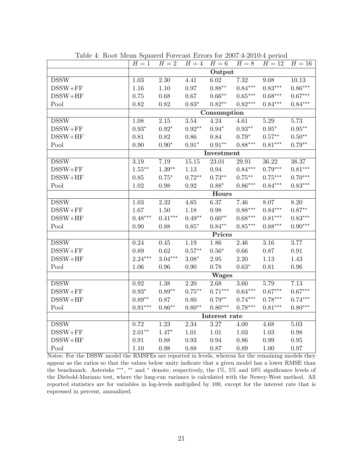|             | $H=1$         | $H=2$         | $H=4$             | $H=6$         | $H=8$             | $H=12$    | $H=16$            |  |
|-------------|---------------|---------------|-------------------|---------------|-------------------|-----------|-------------------|--|
|             |               |               |                   | Output        |                   |           |                   |  |
| <b>DSSW</b> | 1.03          | $2.30\,$      | 4.41              | 6.02          | 7.32              | 9.08      | 10.13             |  |
| $DSSW + FF$ | 1.16          | $1.10\,$      | 0.97              | $0.88**$      | $0.84***$         | $0.83***$ | $0.86***$         |  |
| $DSSW+HF$   | $0.75\,$      | $0.68\,$      | $0.67\,$          | $0.66***$     | $0.65***$         | $0.68***$ | $0.67***$         |  |
| Pool        | 0.82          | $0.82\,$      | $0.83*$           | $0.82**$      | $0.82***$         | $0.84***$ | $0.84***$         |  |
|             | Consumption   |               |                   |               |                   |           |                   |  |
| <b>DSSW</b> | 1.08          | $2.15\,$      | 3.54              | 4.24          | 4.61              | 5.29      | 5.73              |  |
| $DSSW + FF$ | $0.93^{\ast}$ | $0.92^{\ast}$ | $0.92**$          | $0.94^{\ast}$ | $0.93^{\ast\ast}$ | $0.95*$   | $0.95^{\ast\ast}$ |  |
| $DSSW+HF$   | 0.81          | $0.82\,$      | 0.86              | 0.84          | $0.79*$           | $0.57***$ | $0.50^{\ast\ast}$ |  |
| Pool        | $0.90\,$      | $0.90^\ast$   | $0.91^{\ast}$     | $0.91**$      | $0.88***$         | $0.81***$ | $0.79**$          |  |
|             |               |               |                   | Investment    |                   |           |                   |  |
| <b>DSSW</b> | 3.19          | 7.19          | 15.15             | 23.01         | 29.91             | 36.22     | 38.37             |  |
| $DSSW + FF$ | $1.55***$     | $1.39**$      | 1.13              | 0.94          | $0.84***$         | $0.79***$ | $0.81***$         |  |
| $DSSW+HF$   | 0.85          | $0.75*$       | $0.72***$         | $0.73***$     | $0.75***$         | $0.75***$ | $0.70***$         |  |
| Pool        | 1.02          | 0.98          | 0.92              | $0.88*$       | $0.86***$         | $0.84***$ | $0.83***$         |  |
|             | Hours         |               |                   |               |                   |           |                   |  |
| <b>DSSW</b> | 1.03          | $2.32\,$      | $4.65\,$          | 6.37          | 7.46              | 8.07      | 8.20              |  |
| $DSSW + FF$ | 1.67          | 1.50          | 1.18              | 0.98          | $0.88***$         | $0.84***$ | $0.87**$          |  |
| $DSSW+HF$   | $0.48***$     | $0.41***$     | $0.49**$          | $0.60**$      | $0.68***$         | $0.81***$ | $0.83***$         |  |
| Pool        | 0.90          | $0.88\,$      | $0.85^{\ast}$     | $0.84**$      | $0.85***$         | $0.88***$ | $0.90***$         |  |
|             |               |               |                   | Prices        |                   |           |                   |  |
| <b>DSSW</b> | 0.24          | 0.45          | 1.19              | 1.86          | 2.46              | 3.16      | 3.77              |  |
| $DSSW + FF$ | 0.89          | $\rm 0.62$    | $0.57**$          | $0.56^{\ast}$ | $0.66\,$          | 0.87      | 0.91              |  |
| $DSSW+HF$   | $2.24***$     | $3.04***$     | $3.08^{\ast}$     | $2.95\,$      | $2.20\,$          | 1.13      | 1.43              |  |
| Pool        | 1.06          | 0.96          | $0.90\,$          | 0.78          | $0.63*$           | $0.81\,$  | 0.96              |  |
|             |               |               |                   | <b>Wages</b>  |                   |           |                   |  |
| <b>DSSW</b> | 0.92          | 1.38          | 2.20              | 2.68          | 3.60              | 5.79      | 7.13              |  |
| $DSSW + FF$ | $0.93*$       | $0.89**$      | $0.75***$         | $0.71***$     | $0.64***$         | $0.67***$ | $0.67***$         |  |
| $DSSW+HF$   | $0.89**$      | 0.87          | 0.80              | $0.79**$      | $0.74***$         | $0.78***$ | $0.74***$         |  |
| Pool        | $0.91***$     | $0.86**$      | $0.80**$          | $0.80***$     | $0.78***$         | $0.81***$ | $0.80***$         |  |
|             |               |               |                   | Interest rate |                   |           |                   |  |
| <b>DSSW</b> | 0.72          | 1.23          | $\overline{2.34}$ | 3.27          | 4.00              | 4.68      | 5.03              |  |
| $DSSW + FF$ | $2.01**$      | $1.47*$       | $1.01\,$          | 1.01          | $1.03\,$          | 1.03      | 0.98              |  |
| $DSSW+HF$   | 0.91          | 0.88          | 0.93              | 0.94          | $0.86\,$          | 0.99      | $0.95\,$          |  |
| Pool        | 1.10          | 0.98          | 0.88              | 0.87          | $0.89\,$          | $1.00\,$  | $0.97\,$          |  |

Table 4: Root Mean Squared Forecast Errors for 2007:4-2010:4 period

Notes: For the DSSW model the RMSFEs are reported in levels, whereas for the remaining models they appear as the ratios so that the values below unity indicate that a given model has a lower RMSE than the benchmark. Asterisks *∗∗∗* , *∗∗* and *<sup>∗</sup>* denote, respectively, the 1%, 5% and 10% significance levels of the Diebold-Mariano test, where the long-run variance is calculated with the Newey-West method. All reported statistics are for variables in log-levels multiplied by 100, except for the interest rate that is expressed in percent, annualized.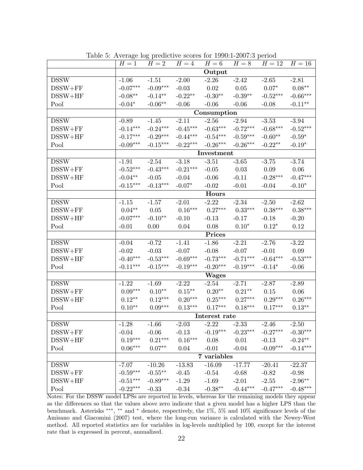|             | $H=1$                 | $H=2$      | $H=4$      | $H=6$         | $H=8$      | $H=12$     | $H=16$                    |  |  |
|-------------|-----------------------|------------|------------|---------------|------------|------------|---------------------------|--|--|
|             |                       |            |            | Output        |            |            |                           |  |  |
| <b>DSSW</b> | $-1.06$               | $-1.51$    | $-2.00$    | $-2.26$       | $-2.42$    | $-2.65$    | $-2.81$                   |  |  |
| $DSSW + FF$ | $-0.07***$            | $-0.09***$ | $-0.03$    | 0.02          | 0.05       | $0.07*$    | $0.08**$                  |  |  |
| $DSSW+HF$   | $-0.08**$             | $-0.14**$  | $-0.22**$  | $-0.30**$     | $-0.39**$  | $-0.52***$ | $-0.66***$                |  |  |
| Pool        | $-0.04*$              | $-0.06**$  | $-0.06$    | $-0.06$       | $-0.06$    | $-0.08$    | $-0.11**$                 |  |  |
|             |                       |            |            | Consumption   |            |            |                           |  |  |
| <b>DSSW</b> | $-0.89$               | $-1.45$    | $-2.11$    | $-2.56$       | $-2.94$    | $-3.53$    | $-3.94$                   |  |  |
| $DSSW + FF$ | $-0.14***$            | $-0.24***$ | $-0.45***$ | $-0.63***$    | $-0.72***$ | $-0.68***$ | $-0.52***$                |  |  |
| $DSSW+HF$   | $-0.17***$            | $-0.29***$ | $-0.44***$ | $-0.54***$    | $-0.59***$ | $-0.60**$  | $-0.59*$                  |  |  |
| Pool        | $-0.09***$            | $-0.15***$ | $-0.22***$ | $-0.26***$    | $-0.26***$ | $-0.22**$  | $-0.19*$                  |  |  |
|             |                       | Investment |            |               |            |            |                           |  |  |
| <b>DSSW</b> | $-1.91$               | $-2.54$    | $-3.18$    | $-3.51$       | $-3.65$    | $-3.75$    | $-3.74$                   |  |  |
| $DSSW + FF$ | $-0.52***$            | $-0.43***$ | $-0.21***$ | $-0.05$       | 0.03       | 0.09       | $0.06\,$                  |  |  |
| $DSSW+HF$   | $-0.04**$             | $-0.05$    | $-0.04$    | $-0.06$       | $-0.11$    | $-0.28***$ | $-0.47***$                |  |  |
| Pool        | $-0.15***$            | $-0.13***$ | $-0.07*$   | $-0.02$       | $-0.01$    | $-0.04$    | $-0.10*$                  |  |  |
|             |                       |            |            | Hours         |            |            |                           |  |  |
| <b>DSSW</b> | $-1.15$               | $-1.57$    | $-2.01$    | $-2.22$       | $-2.34$    | $-2.50$    | $-2.62$                   |  |  |
| $DSSW + FF$ | $0.04**$              | 0.05       | $0.16***$  | $0.27***$     | $0.33***$  | $0.38***$  | $0.38***$                 |  |  |
| $DSSW+HF$   | $-0.07***$            | $-0.10**$  | $-0.10$    | $-0.13$       | $-0.17$    | $-0.18$    | $-0.20$                   |  |  |
| Pool        | $-0.01$               | 0.00       | 0.04       | 0.08          | $0.10*$    | $0.12*$    | 0.12                      |  |  |
|             | Prices                |            |            |               |            |            |                           |  |  |
| <b>DSSW</b> | $-0.04$               | $-0.72$    | $-1.41$    | $-1.86$       | $-2.21$    | $-2.76$    | $-3.22$                   |  |  |
| $DSSW + FF$ | $-0.02$               | $-0.03$    | $-0.07$    | $-0.08$       | $-0.07$    | $-0.01$    | 0.09                      |  |  |
| $DSSW+HF$   | $-0.40***$            | $-0.53***$ | $-0.69***$ | $-0.73***$    | $-0.71***$ | $-0.64***$ | $-0.53***$                |  |  |
| Pool        | $-0.11***$            | $-0.15***$ | $-0.19***$ | $-0.20***$    | $-0.19***$ | $-0.14*$   | $-0.06$                   |  |  |
|             |                       |            |            | <b>Wages</b>  |            |            |                           |  |  |
| <b>DSSW</b> | $-1.22$               | $-1.69$    | $-2.22$    | $-2.54$       | $-2.71$    | $-2.87$    | $-2.89$                   |  |  |
| $DSSW + FF$ | $0.09^{***}\,$        | $0.10**$   | $0.15***$  | $0.20**$      | $0.21***$  | 0.15       | 0.06                      |  |  |
| $DSSW+HF$   | $0.12**$              | $0.12***$  | $0.20***$  | $0.25***$     | $0.27***$  | $0.29***$  | $0.26***$                 |  |  |
| Pool        | $0.10**$              | $0.09***$  | $0.13***$  | $0.17***$     | $0.18***$  | $0.17***$  | $0.13***$                 |  |  |
|             |                       |            |            | Interest rate |            |            |                           |  |  |
| <b>DSSW</b> | $-1.28$               | $-1.66$    | $-2.03$    | $-2.22$       | $-2.33$    | $-2.46$    | $-2.50$                   |  |  |
| $DSSW + FF$ | $-0.04$               | $-0.06$    | $-0.13$    | $-0.19***$    | $-0.23***$ | $-0.27***$ | $-0.30***$                |  |  |
| $DSSW+HF$   | $0.19***$             | $0.21***$  | $0.16***$  | 0.08          | 0.01       | $-0.13$    | $\text{-}0.24^{\ast\ast}$ |  |  |
| Pool        | $0.06^{\ast\ast\ast}$ | $0.07**$   | 0.04       | $-0.01$       | $-0.04$    | $-0.09***$ | $-0.14***$                |  |  |
|             |                       |            |            | $7$ variables |            |            |                           |  |  |
| <b>DSSW</b> | $-7.07$               | $-10.26$   | $-13.83$   | $-16.09$      | $-17.77$   | $-20.41$   | $-22.37$                  |  |  |
| $DSSW + FF$ | $-0.59***$            | $-0.55***$ | $-0.45$    | $-0.54$       | $-0.68$    | $-0.82$    | $-0.98$                   |  |  |
| $DSSW+HF$   | $-0.51***$            | $-0.89***$ | $-1.29$    | $-1.69$       | $-2.01$    | $-2.55$    | $-2.96**$                 |  |  |
| Pool        | $-0.22***$            | $-0.33$    | $-0.34$    | $-0.38**$     | $-0.44***$ | $-0.47***$ | $-0.48***$                |  |  |

Table 5: Average log predictive scores for 1990:1-2007:3 period

Notes: For the DSSW model LPSs are reported in levels, whereas for the remaining models they appear as the differences so that the values above zero indicate that a given model has a higher LPS than the benchmark. Asterisks *∗∗∗* , *∗∗* and *<sup>∗</sup>* denote, respectively, the 1%, 5% and 10% significance levels of the Amisano and Giacomini (2007) test, where the long-run variance is calculated with the Newey-West method. All reported statistics are for variables in log-levels multiplied by 100, except for the interest rate that is expressed in percent, annualized.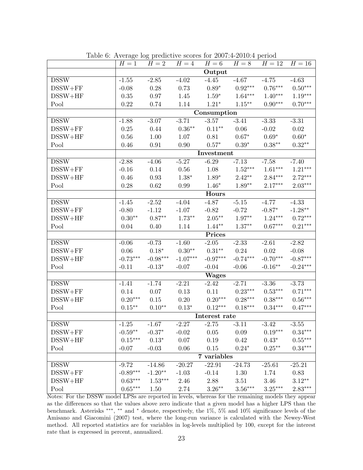|             | $H=1$                     | ິ⊥<br>$H=2$ | $H=4$      | $H=6$         | $H=8$      | $H=12$     | $H=16$                |  |  |
|-------------|---------------------------|-------------|------------|---------------|------------|------------|-----------------------|--|--|
|             |                           |             |            | Output        |            |            |                       |  |  |
| <b>DSSW</b> | $-1.55$                   | $-2.85$     | $-4.02$    | $-4.45$       | $-4.67$    | $-4.75$    | $-4.63$               |  |  |
| $DSSW + FF$ | $-0.08$                   | 0.28        | 0.73       | $0.89*$       | $0.92***$  | $0.76***$  | $0.50^{\ast\ast\ast}$ |  |  |
| $DSSW+HF$   | 0.35                      | 0.97        | 1.45       | $1.59*$       | $1.64***$  | $1.40***$  | $1.19***$             |  |  |
| Pool        | 0.22                      | 0.74        | 1.14       | $1.21*$       | $1.15***$  | $0.90***$  | $0.70***$             |  |  |
|             |                           | Consumption |            |               |            |            |                       |  |  |
| <b>DSSW</b> | $-1.88$                   | $-3.07$     | $-3.71$    | $-3.57$       | $-3.41$    | $-3.33$    | $-3.31$               |  |  |
| $DSSW + FF$ | 0.25                      | 0.44        | $0.36**$   | $0.11***$     | 0.06       | $-0.02$    | 0.02                  |  |  |
| $DSSW+HF$   | 0.56                      | $1.00\,$    | 1.07       | 0.81          | $0.67*$    | $0.69*$    | $0.60*$               |  |  |
| Pool        | 0.46                      | 0.91        | 0.90       | $0.57*$       | $0.39*$    | $0.38***$  | $0.32**$              |  |  |
|             | Investment                |             |            |               |            |            |                       |  |  |
| <b>DSSW</b> | $-2.88$                   | $-4.06$     | $-5.27$    | $-6.29$       | $-7.13$    | $-7.58$    | $-7.40$               |  |  |
| $DSSW + FF$ | $-0.16$                   | 0.14        | 0.56       | 1.08          | $1.52***$  | $1.61***$  | $1.21***$             |  |  |
| $DSSW+HF$   | 0.46                      | 0.93        | $1.38*$    | $1.89*$       | $2.42**$   | $2.84***$  | $2.72***$             |  |  |
| Pool        | 0.28                      | $0.62\,$    | 0.99       | $1.46*$       | $1.89**$   | $2.17***$  | $2.03***$             |  |  |
|             |                           |             |            | Hours         |            |            |                       |  |  |
| <b>DSSW</b> | $-1.45$                   | $-2.52$     | $-4.04$    | $-4.87$       | $-5.15$    | $-4.77$    | $-4.33$               |  |  |
| $DSSW + FF$ | $-0.80$                   | $-1.12$     | $-1.07$    | $-0.82$       | $-0.72$    | $-0.87*$   | $-1.28**$             |  |  |
| $DSSW+HF$   | $0.30**$                  | $0.87**$    | $1.73**$   | $2.05***$     | $1.97**$   | $1.24***$  | $0.72***$             |  |  |
| Pool        | 0.04                      | 0.40        | 1.14       | $1.44**$      | $1.37**$   | $0.67***$  | $0.21***$             |  |  |
|             | Prices                    |             |            |               |            |            |                       |  |  |
| <b>DSSW</b> | $-0.06$                   | $-0.73$     | $-1.60$    | $-2.05$       | $-2.33$    | $-2.61$    | $-2.82$               |  |  |
| $DSSW + FF$ | 0.06                      | $0.18*$     | $0.30**$   | $0.31***$     | 0.24       | 0.02       | $-0.08$               |  |  |
| $DSSW+HF$   | $-0.73***$                | $-0.98***$  | $-1.07***$ | $-0.97***$    | $-0.74***$ | $-0.70***$ | $-0.87***$            |  |  |
| Pool        | $-0.11$                   | $-0.13*$    | $-0.07$    | $-0.04$       | $-0.06$    | $-0.16**$  | $-0.24***$            |  |  |
|             |                           |             |            | <b>Wages</b>  |            |            |                       |  |  |
| <b>DSSW</b> | $-1.41$                   | $-1.74$     | $-2.21$    | $-2.42$       | $-2.71$    | $-3.36$    | $-3.73$               |  |  |
| $DSSW + FF$ | 0.14                      | 0.07        | 0.13       | 0.11          | $0.23***$  | $0.53***$  | $0.71***$             |  |  |
| $DSSW+HF$   | $0.20***$                 | 0.15        | 0.20       | $0.20***$     | $0.28***$  | $0.38***$  | $0.56^{\ast\ast\ast}$ |  |  |
| Pool        | $0.15***$                 | $0.10**$    | $0.13*$    | $0.12***$     | $0.18***$  | $0.34***$  | $0.47***$             |  |  |
|             |                           |             |            | Interest rate |            |            |                       |  |  |
| <b>DSSW</b> | $-1.25$                   | $-1.67$     | 2.27       | $-2.75$       | $-3.11$    | 3.42       | 3.55                  |  |  |
| $DSSW + FF$ | $\text{-}0.59^{\ast\ast}$ | $-0.37*$    | $-0.02$    | 0.05          | 0.09       | $0.19***$  | $0.34^{\ast\ast\ast}$ |  |  |
| $DSSW+HF$   | $0.15***$                 | $0.13*$     | 0.07       | 0.19          | 0.42       | $0.43*$    | $0.55***$             |  |  |
| Pool        | $-0.07$                   | $-0.03$     | $0.06\,$   | $0.15\,$      | $0.24*$    | $0.25***$  | $0.34***$             |  |  |
|             |                           |             |            | 7 variables   |            |            |                       |  |  |
| <b>DSSW</b> | $-9.72$                   | $-14.86$    | $-20.27$   | $-22.91$      | $-24.73$   | $-25.61$   | $-25.21$              |  |  |
| $DSSW + FF$ | $-0.89***$                | $-1.20**$   | $-1.03$    | $-0.14$       | 1.30       | 1.74       | 0.83                  |  |  |
| $DSSW+HF$   | $0.63***$                 | $1.53***$   | 2.46       | 2.88          | 3.51       | 3.46       | $3.12**$              |  |  |
| Pool        | $0.65***$                 | 1.50        | 2.74       | $3.26***$     | $3.56***$  | $3.25***$  | $2.83***$             |  |  |

Table 6: Average log predictive scores for 2007:4-2010:4 period

Notes: For the DSSW model LPSs are reported in levels, whereas for the remaining models they appear as the differences so that the values above zero indicate that a given model has a higher LPS than the benchmark. Asterisks *∗∗∗* , *∗∗* and *<sup>∗</sup>* denote, respectively, the 1%, 5% and 10% significance levels of the Amisano and Giacomini (2007) test, where the long-run variance is calculated with the Newey-West method. All reported statistics are for variables in log-levels multiplied by 100, except for the interest rate that is expressed in percent, annualized.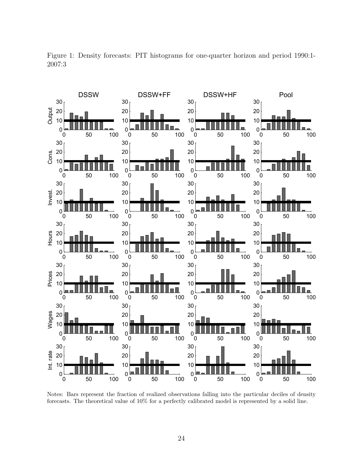

Figure 1: Density forecasts: PIT histograms for one-quarter horizon and period 1990:1- 2007:3

Notes: Bars represent the fraction of realized observations falling into the particular deciles of density forecasts. The theoretical value of 10% for a perfectly calibrated model is represented by a solid line.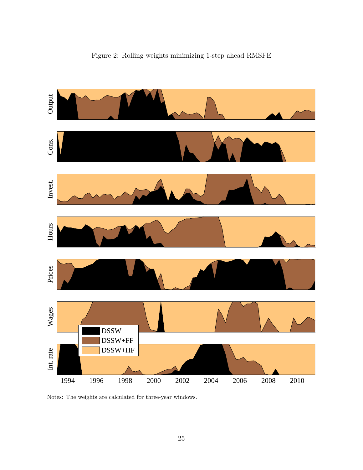

Figure 2: Rolling weights minimizing 1-step ahead RMSFE

Notes: The weights are calculated for three-year windows.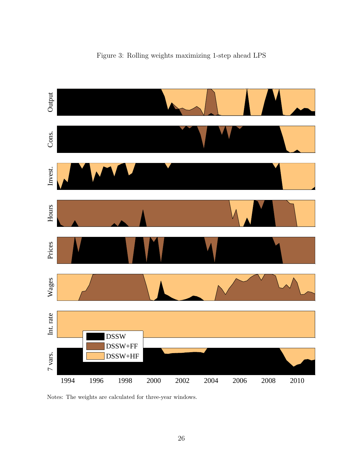

Figure 3: Rolling weights maximizing 1-step ahead LPS

Notes: The weights are calculated for three-year windows.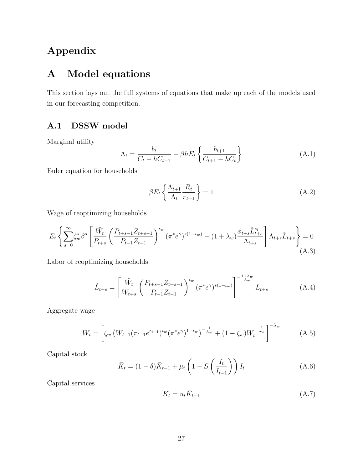# **Appendix**

# **A Model equations**

This section lays out the full systems of equations that make up each of the models used in our forecasting competition.

### **A.1 DSSW model**

Marginal utility

$$
\Lambda_t = \frac{b_t}{C_t - hC_{t-1}} - \beta h E_t \left\{ \frac{b_{t+1}}{C_{t+1} - hC_t} \right\}
$$
\n(A.1)

Euler equation for households

$$
\beta E_t \left\{ \frac{\Lambda_{t+1}}{\Lambda_t} \frac{R_t}{\pi_{t+1}} \right\} = 1 \tag{A.2}
$$

Wage of reoptimizing households

$$
E_{t} \left\{ \sum_{s=0}^{\infty} \zeta_{w}^{s} \beta^{s} \left[ \frac{\tilde{W}_{t}}{P_{t+s}} \left( \frac{P_{t+s-1} Z_{t+s-1}}{P_{t-1} Z_{t-1}} \right)^{\iota_{w}} (\pi^{*} e^{\gamma})^{s(1-\iota_{w})} - (1+\lambda_{w}) \frac{\phi_{t+s} \tilde{L}_{t+s}^{\nu_{t}}}{\Lambda_{t+s}} \right] \Lambda_{t+s} \tilde{L}_{t+s} \right\} = 0
$$
\n(A.3)

Labor of reoptimizing households

$$
\tilde{L}_{t+s} = \left[ \frac{\tilde{W}_t}{W_{t+s}} \left( \frac{P_{t+s-1} Z_{t+s-1}}{P_{t-1} Z_{t-1}} \right)^{\iota_w} (\pi^* e^{\gamma})^{s(1-\iota_w)} \right]^{-\frac{1+\lambda_w}{\lambda_w}} L_{t+s}
$$
\n(A.4)

Aggregate wage

$$
W_t = \left[ \zeta_w \left( W_{t-1} (\pi_{t-1} e^{z_{t-1}})^{\mu_w} (\pi^* e^{\gamma})^{1-\mu_w} \right)^{-\frac{1}{\lambda_w}} + (1 - \zeta_w) \tilde{W}_t^{-\frac{1}{\lambda_w}} \right]^{-\lambda_w} \tag{A.5}
$$

Capital stock

$$
\bar{K}_t = (1 - \delta)\bar{K}_{t-1} + \mu_t \left(1 - S\left(\frac{I_t}{I_{t-1}}\right)\right)I_t
$$
\n(A.6)

Capital services

$$
K_t = u_t \bar{K}_{t-1} \tag{A.7}
$$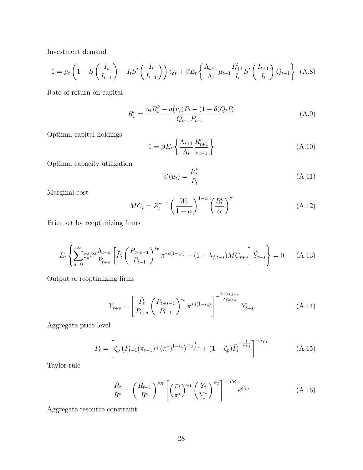Investment demand

$$
1 = \mu_t \left( 1 - S \left( \frac{I_t}{I_{t-1}} \right) - I_t S' \left( \frac{I_t}{I_{t-1}} \right) \right) Q_t + \beta E_t \left\{ \frac{\Lambda_{t+1}}{\Lambda_t} \mu_{t+1} \frac{I_{t+1}^2}{I_t} S' \left( \frac{I_{t+1}}{I_t} \right) Q_{t+1} \right\} (A.8)
$$

Rate of return on capital

$$
R_t^e = \frac{u_t R_t^k - a(u_t) P_t + (1 - \delta) Q_t P_t}{Q_{t-1} P_{t-1}}
$$
(A.9)

Optimal capital holdings

$$
1 = \beta E_t \left\{ \frac{\Lambda_{t+1}}{\Lambda_t} \frac{R_{t+1}^e}{\pi_{t+1}} \right\} \tag{A.10}
$$

Optimal capacity utilization

$$
a'(u_t) = \frac{R_t^k}{P_t} \tag{A.11}
$$

Marginal cost

$$
MC_t = Z_t^{\alpha - 1} \left(\frac{W_t}{1 - \alpha}\right)^{1 - \alpha} \left(\frac{R_t^k}{\alpha}\right)^{\alpha} \tag{A.12}
$$

Price set by reoptimizing firms

$$
E_t \left\{ \sum_{s=0}^{\infty} \zeta_p^s \beta^s \frac{\Lambda_{t+s}}{P_{t+s}} \left[ \tilde{P}_t \left( \frac{P_{t+s-1}}{P_{t-1}} \right)^{t_p} \pi^{*s(1-t_p)} - (1+\lambda_{f,t+s})MC_{t+s} \right] \tilde{Y}_{t+s} \right\} = 0 \quad (A.13)
$$

Output of reoptimizing firms

$$
\tilde{Y}_{t+s} = \left[ \frac{\tilde{P}_t}{P_{t+s}} \left( \frac{P_{t+s-1}}{P_{t-1}} \right)^{\iota_p} \pi^{*s(1-\iota_p)} \right]^{-\frac{1+\lambda_{f,t+s}}{\lambda_{f,t+s}}} Y_{t+s}
$$
\n(A.14)

Aggregate price level

$$
P_t = \left[ \zeta_p \left( P_{t-1} (\pi_{t-1})^{\iota_p} (\pi^*)^{1-\iota_p} \right)^{-\frac{1}{\lambda_{f,t}}} + (1 - \zeta_p) \tilde{P}_t^{-\frac{1}{\lambda_{f,t}}} \right]^{-\lambda_{f,t}} \tag{A.15}
$$

Taylor rule

$$
\frac{R_t}{R^*} = \left(\frac{R_{t-1}}{R^*}\right)^{\rho_R} \left[\left(\frac{\pi_t}{\pi^*}\right)^{\psi_1} \left(\frac{Y_t}{Y_t^*}\right)^{\psi_2}\right]^{1-\rho_R} e^{\epsilon_{R,t}} \tag{A.16}
$$

Aggregate resource constraint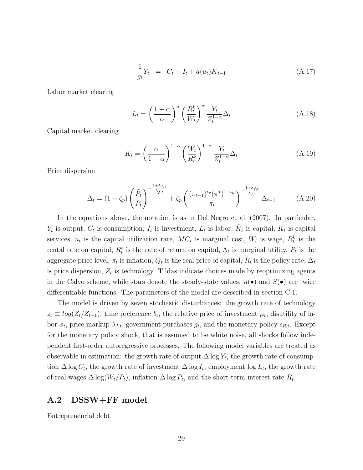$$
\frac{1}{g_t}Y_t = C_t + I_t + a(u_t)\overline{K}_{t-1}
$$
\n(A.17)

Labor market clearing

$$
L_t = \left(\frac{1-\alpha}{\alpha}\right)^{\alpha} \left(\frac{R_t^k}{W_t}\right)^{\alpha} \frac{Y_t}{Z_t^{1-\alpha}} \Delta_t
$$
 (A.18)

Capital market clearing

$$
K_t = \left(\frac{\alpha}{1-\alpha}\right)^{1-\alpha} \left(\frac{W_t}{R_t^k}\right)^{1-\alpha} \frac{Y_t}{Z_t^{1-\alpha}} \Delta_t \tag{A.19}
$$

Price dispersion

$$
\Delta_t = (1 - \zeta_p) \left( \frac{\tilde{P}_t}{P_t} \right)^{-\frac{1 + \lambda_{f,t}}{\lambda_{f,t}}} + \zeta_p \left( \frac{(\pi_{t-1})^{\iota_p} (\pi^*)^{1 - \iota_p}}{\pi_t} \right)^{-\frac{1 + \lambda_{f,t}}{\lambda_{f,t}}} \Delta_{t-1}
$$
(A.20)

In the equations above, the notation is as in Del Negro et al. (2007). In particular,  $Y_t$  is output,  $C_t$  is consumption,  $I_t$  is investment,  $L_t$  is labor,  $\bar{K}_t$  is capital,  $K_t$  is capital services,  $u_t$  is the capital utilization rate,  $MC_t$  is marginal cost,  $W_t$  is wage,  $R_t^k$  is the rental rate on capital,  $R_t^e$  is the rate of return on capital,  $\Lambda_t$  is marginal utility,  $P_t$  is the aggregate price level,  $\pi_t$  is inflation,  $Q_t$  is the real price of capital,  $R_t$  is the policy rate,  $\Delta_t$ is price dispersion,  $Z_t$  is technology. Tildas indicate choices made by reoptimizing agents in the Calvo scheme, while stars denote the steady-state values.  $a(\bullet)$  and  $S(\bullet)$  are twice differentiable functions. The parameters of the model are described in section C.1.

The model is driven by seven stochastic disturbances: the growth rate of technology  $z_t \equiv log(Z_t/Z_{t-1})$ , time preference *b<sub>t</sub>*, the relative price of investment  $\mu_t$ , disutility of labor  $\phi_t$ , price markup  $\lambda_{f,t}$ , government purchases  $g_t$ , and the monetary policy  $\epsilon_{R,t}$ . Except for the monetary policy shock, that is assumed to be white noise, all shocks follow independent first-order autoregressive processes. The following model variables are treated as observable in estimation: the growth rate of output  $\Delta \log Y_t$ , the growth rate of consumption  $\Delta \log C_t$ , the growth rate of investment  $\Delta \log I_t$ , employment  $\log L_t$ , the growth rate of real wages  $\Delta \log(W_t/P_t)$ , inflation  $\Delta \log P_t$ , and the short-term interest rate  $R_t$ .

#### **A.2 DSSW+FF model**

Entrepreneurial debt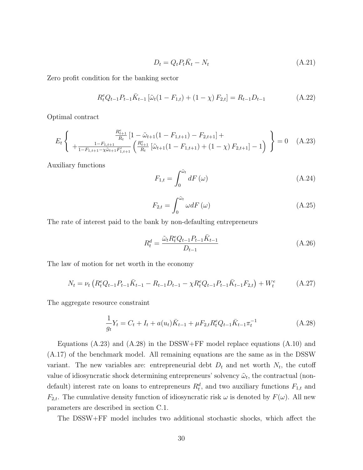$$
D_t = Q_t P_t \overline{K}_t - N_t \tag{A.21}
$$

Zero profit condition for the banking sector

$$
R_t^e Q_{t-1} P_{t-1} \bar{K}_{t-1} \left[ \tilde{\omega}_t (1 - F_{1,t}) + (1 - \chi) F_{2,t} \right] = R_{t-1} D_{t-1}
$$
 (A.22)

Optimal contract

$$
E_t \left\{ \begin{array}{c} \frac{R_{t+1}^e}{R_t} \left[ 1 - \tilde{\omega}_{t+1} (1 - F_{1,t+1}) - F_{2,t+1} \right] + \\ + \frac{1 - F_{1,t+1}}{1 - F_{1,t+1} - \chi \tilde{\omega}_{t+1} F'_{1,t+1}} \left( \frac{R_{t+1}^e}{R_t} \left[ \tilde{\omega}_{t+1} (1 - F_{1,t+1}) + (1 - \chi) F_{2,t+1} \right] - 1 \right) \end{array} \right\} = 0 \quad (A.23)
$$

Auxiliary functions

$$
F_{1,t} = \int_0^{\tilde{\omega}_t} dF(\omega) \tag{A.24}
$$

$$
F_{2,t} = \int_0^{\tilde{\omega}_t} \omega dF(\omega)
$$
 (A.25)

The rate of interest paid to the bank by non-defaulting entrepreneurs

$$
R_t^d = \frac{\tilde{\omega}_t R_t^e Q_{t-1} P_{t-1} \bar{K}_{t-1}}{D_{t-1}}
$$
\n(A.26)

The law of motion for net worth in the economy

$$
N_t = \nu_t \left( R_t^e Q_{t-1} P_{t-1} \bar{K}_{t-1} - R_{t-1} D_{t-1} - \chi R_t^e Q_{t-1} P_{t-1} \bar{K}_{t-1} F_{2,t} \right) + W_t^e \tag{A.27}
$$

The aggregate resource constraint

$$
\frac{1}{g_t}Y_t = C_t + I_t + a(u_t)\bar{K}_{t-1} + \mu F_{2,t} R_t^e Q_{t-1} \bar{K}_{t-1} \pi_t^{-1}
$$
\n(A.28)

Equations (A.23) and (A.28) in the DSSW+FF model replace equations (A.10) and (A.17) of the benchmark model. All remaining equations are the same as in the DSSW variant. The new variables are: entrepreneurial debt  $D_t$  and net worth  $N_t$ , the cutoff value of idiosyncratic shock determining entrepreneurs' solvency  $\tilde{\omega}_t$ , the contractual (nondefault) interest rate on loans to entrepreneurs  $R_t^d$ , and two auxiliary functions  $F_{1,t}$  and *F*<sub>2</sub>*t*. The cumulative density function of idiosyncratic risk  $\omega$  is denoted by *F*( $\omega$ ). All new parameters are described in section C.1.

The DSSW+FF model includes two additional stochastic shocks, which affect the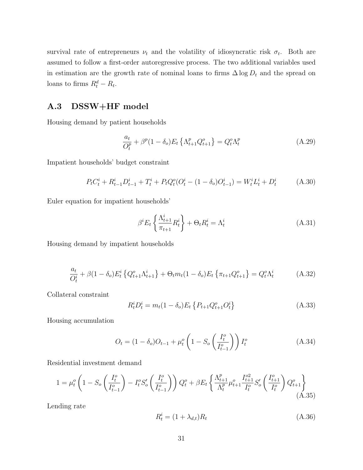survival rate of entrepreneurs  $\nu_t$  and the volatility of idiosyncratic risk  $\sigma_t$ . Both are assumed to follow a first-order autoregressive process. The two additional variables used in estimation are the growth rate of nominal loans to firms  $\Delta \log D_t$  and the spread on loans to firms  $R_t^d - R_t$ .

### **A.3 DSSW+HF model**

Housing demand by patient households

$$
\frac{a_t}{Q_t^p} + \beta^p (1 - \delta_o) E_t \left\{ \Lambda_{t+1}^p Q_{t+1}^o \right\} = Q_t^o \Lambda_t^p \tag{A.29}
$$

Impatient households' budget constraint

$$
P_t C_t^i + R_{t-1}^i D_{t-1}^i + T_t^i + P_t Q_t^o (O_t^i - (1 - \delta_o) O_{t-1}^i) = W_t^i L_t^i + D_t^i \tag{A.30}
$$

Euler equation for impatient households'

$$
\beta^i E_t \left\{ \frac{\Lambda_{t+1}^i}{\pi_{t+1}} R_t^i \right\} + \Theta_t R_t^i = \Lambda_t^i \tag{A.31}
$$

Housing demand by impatient households

$$
\frac{a_t}{O_t^i} + \beta (1 - \delta_o) E_t^i \left\{ Q_{t+1}^o \Lambda_{t+1}^i \right\} + \Theta_t m_t (1 - \delta_o) E_t \left\{ \pi_{t+1} Q_{t+1}^o \right\} = Q_t^o \Lambda_t^i \tag{A.32}
$$

Collateral constraint

$$
R_t^i D_t^i = m_t (1 - \delta_o) E_t \left\{ P_{t+1} Q_{t+1}^o O_t^i \right\} \tag{A.33}
$$

Housing accumulation

$$
O_t = (1 - \delta_o)O_{t-1} + \mu_t^o \left(1 - S_o \left(\frac{I_t^o}{I_{t-1}^o}\right)\right)I_t^o \tag{A.34}
$$

Residential investment demand

$$
1 = \mu_t^o \left( 1 - S_o \left( \frac{I_t^o}{I_{t-1}^o} \right) - I_t^o S_o' \left( \frac{I_t^o}{I_{t-1}^o} \right) \right) Q_t^o + \beta E_t \left\{ \frac{\Lambda_{t+1}^p}{\Lambda_t^p} \mu_{t+1}^o \frac{I_{t+1}^{o2}}{I_t^o} S_o' \left( \frac{I_{t+1}^o}{I_t^o} \right) Q_{t+1}^o \right\} \tag{A.35}
$$

Lending rate

$$
R_t^i = (1 + \lambda_{d,t})R_t
$$
\n<sup>(A.36)</sup>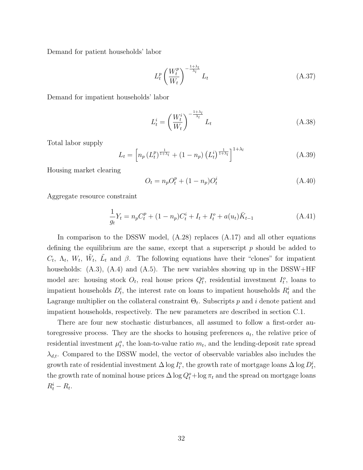Demand for patient households' labor

$$
L_t^p \left(\frac{W_t^p}{W_t}\right)^{-\frac{1+\lambda_l}{\lambda_l}} L_t \tag{A.37}
$$

Demand for impatient households' labor

$$
L_t^i = \left(\frac{W_t^i}{W_t}\right)^{-\frac{1+\lambda_l}{\lambda_l}} L_t \tag{A.38}
$$

Total labor supply

$$
L_{t} = \left[ n_{p} \left( L_{t}^{p} \right)^{\frac{1}{1+\lambda_{l}}} + (1 - n_{p}) \left( L_{t}^{i} \right)^{\frac{1}{1+\lambda_{l}}} \right]^{1+\lambda_{l}}
$$
(A.39)

Housing market clearing

$$
O_t = n_p O_t^p + (1 - n_p) O_t^i \tag{A.40}
$$

Aggregate resource constraint

$$
\frac{1}{g_t}Y_t = n_p C_t^p + (1 - n_p)C_t^i + I_t + I_t^o + a(u_t)\bar{K}_{t-1}
$$
\n(A.41)

In comparison to the DSSW model, (A.28) replaces (A.17) and all other equations defining the equilibrium are the same, except that a superscript *p* should be added to  $C_t$ ,  $\Lambda_t$ ,  $W_t$ ,  $\tilde{W}_t$ ,  $\tilde{L}_t$  and  $\beta$ . The following equations have their "clones" for impatient households:  $(A.3)$ ,  $(A.4)$  and  $(A.5)$ . The new variables showing up in the DSSW+HF model are: housing stock  $O_t$ , real house prices  $Q_t^o$ , residential investment  $I_t^o$ , loans to impatient households  $D_t^i$ , the interest rate on loans to impatient households  $R_t^i$  and the Lagrange multiplier on the collateral constraint Θ*<sup>t</sup>* . Subscripts *p* and *i* denote patient and impatient households, respectively. The new parameters are described in section C.1.

There are four new stochastic disturbances, all assumed to follow a first-order autoregressive process. They are the shocks to housing preferences  $a_t$ , the relative price of residential investment  $\mu_t^o$ , the loan-to-value ratio  $m_t$ , and the lending-deposit rate spread *λd,t*. Compared to the DSSW model, the vector of observable variables also includes the growth rate of residential investment  $\Delta \log I_t^o$ , the growth rate of mortgage loans  $\Delta \log D_t^i$ , the growth rate of nominal house prices  $\Delta \log Q_t^o + \log \pi_t$  and the spread on mortgage loans  $R_t^i - R_t$ .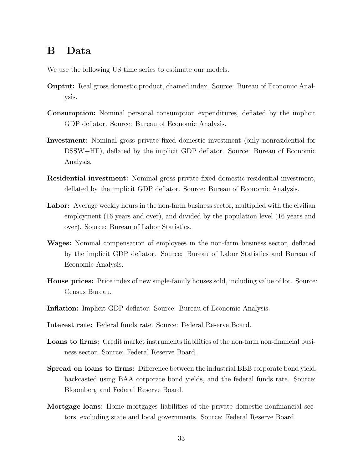## **B Data**

We use the following US time series to estimate our models.

- **Ouptut:** Real gross domestic product, chained index. Source: Bureau of Economic Analysis.
- **Consumption:** Nominal personal consumption expenditures, deflated by the implicit GDP deflator. Source: Bureau of Economic Analysis.
- **Investment:** Nominal gross private fixed domestic investment (only nonresidential for DSSW+HF), deflated by the implicit GDP deflator. Source: Bureau of Economic Analysis.
- **Residential investment:** Nominal gross private fixed domestic residential investment, deflated by the implicit GDP deflator. Source: Bureau of Economic Analysis.
- Labor: Average weekly hours in the non-farm business sector, multiplied with the civilian employment (16 years and over), and divided by the population level (16 years and over). Source: Bureau of Labor Statistics.
- **Wages:** Nominal compensation of employees in the non-farm business sector, deflated by the implicit GDP deflator. Source: Bureau of Labor Statistics and Bureau of Economic Analysis.
- **House prices:** Price index of new single-family houses sold, including value of lot. Source: Census Bureau.
- **Inflation:** Implicit GDP deflator. Source: Bureau of Economic Analysis.
- **Interest rate:** Federal funds rate. Source: Federal Reserve Board.
- **Loans to firms:** Credit market instruments liabilities of the non-farm non-financial business sector. Source: Federal Reserve Board.
- **Spread on loans to firms:** Difference between the industrial BBB corporate bond yield, backcasted using BAA corporate bond yields, and the federal funds rate. Source: Bloomberg and Federal Reserve Board.
- **Mortgage loans:** Home mortgages liabilities of the private domestic nonfinancial sectors, excluding state and local governments. Source: Federal Reserve Board.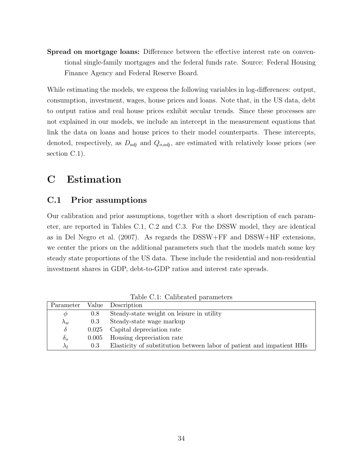**Spread on mortgage loans:** Difference between the effective interest rate on conventional single-family mortgages and the federal funds rate. Source: Federal Housing Finance Agency and Federal Reserve Board.

While estimating the models, we express the following variables in log-differences: output, consumption, investment, wages, house prices and loans. Note that, in the US data, debt to output ratios and real house prices exhibit secular trends. Since these processes are not explained in our models, we include an intercept in the measurement equations that link the data on loans and house prices to their model counterparts. These intercepts, denoted, respectively, as *Dadj* and *Qo,adj* , are estimated with relatively loose priors (see section C.1).

## **C Estimation**

### **C.1 Prior assumptions**

Our calibration and prior assumptions, together with a short description of each parameter, are reported in Tables C.1, C.2 and C.3. For the DSSW model, they are identical as in Del Negro et al. (2007). As regards the DSSW+FF and DSSW+HF extensions, we center the priors on the additional parameters such that the models match some key steady state proportions of the US data. These include the residential and non-residential investment shares in GDP, debt-to-GDP ratios and interest rate spreads.

|             |       | Parameter Value Description                                           |
|-------------|-------|-----------------------------------------------------------------------|
| $\varphi$   | 0.8   | Steady-state weight on leisure in utility                             |
| $\lambda_w$ | 0.3   | Steady-state wage markup                                              |
| $\delta$    |       | 0.025 Capital depreciation rate                                       |
| $\delta_o$  | 0.005 | Housing depreciation rate                                             |
| $\lambda_I$ | 0.3   | Elasticity of substitution between labor of patient and impatient HHs |

Table C.1: Calibrated parameters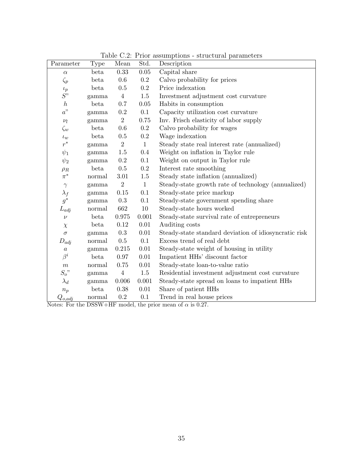| Parameter        | <b>Type</b> | Mean           | Std.         | Table 0.2. The assumptions - structural parameters<br>Description |
|------------------|-------------|----------------|--------------|-------------------------------------------------------------------|
|                  | beta        | 0.33           | 0.05         | Capital share                                                     |
| $\alpha$         |             |                |              |                                                                   |
| $\zeta_p$        | beta        | 0.6            | 0.2          | Calvo probability for prices                                      |
| $\iota_p$        | beta        | 0.5            | $0.2\,$      | Price indexation                                                  |
| S"               | gamma       | $\overline{4}$ | $1.5\,$      | Investment adjustment cost curvature                              |
| $\boldsymbol{h}$ | beta        | 0.7            | $0.05\,$     | Habits in consumption                                             |
| a"               | gamma       | $0.2\,$        | 0.1          | Capacity utilization cost curvature                               |
| $\nu_l$          | gamma       | $\overline{2}$ | 0.75         | Inv. Frisch elasticity of labor supply                            |
| $\zeta_w$        | beta        | 0.6            | 0.2          | Calvo probability for wages                                       |
| $\iota_w$        | beta        | $0.5\,$        | $\rm 0.2$    | Wage indexation                                                   |
| $r^*$            | gamma       | $\sqrt{2}$     | $\mathbf{1}$ | Steady state real interest rate (annualized)                      |
| $\psi_1$         | gamma       | 1.5            | 0.4          | Weight on inflation in Taylor rule                                |
| $\psi_2$         | gamma       | 0.2            | 0.1          | Weight on output in Taylor rule                                   |
| $\rho_R$         | beta        | $0.5\,$        | $0.2\,$      | Interest rate smoothing                                           |
| $\pi^*$          | normal      | $3.01\,$       | 1.5          | Steady state inflation (annualized)                               |
| $\gamma$         | gamma       | $\overline{2}$ | $\mathbf{1}$ | Steady-state growth rate of technology (annualized)               |
| $\lambda_f$      | gamma       | 0.15           | 0.1          | Steady-state price markup                                         |
| $g^*$            | gamma       | 0.3            | 0.1          | Steady-state government spending share                            |
| $L_{adj}$        | normal      | 662            | $10\,$       | Steady-state hours worked                                         |
| $\nu$            | beta        | 0.975          | 0.001        | Steady-state survival rate of entrepreneurs                       |
| $\chi$           | beta        | 0.12           | 0.01         | Auditing costs                                                    |
| $\sigma$         | gamma       | $0.3\,$        | 0.01         | Steady-state standard deviation of idiosyncratic risk             |
| $D_{adj}$        | normal      | 0.5            | 0.1          | Excess trend of real debt                                         |
| $\boldsymbol{a}$ | gamma       | 0.215          | 0.01         | Steady-state weight of housing in utility                         |
| $\beta^i$        | beta        | 0.97           | 0.01         | Impatient HHs' discount factor                                    |
| $\boldsymbol{m}$ | normal      | 0.75           | $0.01\,$     | Steady-state loan-to-value ratio                                  |
| $S_o$ "          | gamma       | $\,4\,$        | $1.5\,$      | Residential investment adjustment cost curvature                  |
| $\lambda_d$      | gamma       | 0.006          | 0.001        | Steady-state spread on loans to impatient HHs                     |
| $n_p$            | beta        | 0.38           | 0.01         | Share of patient HHs                                              |
| $Q_{o,adj}$      | normal      | 0.2            | 0.1          | Trend in real house prices                                        |

Table C.2: Prior assumptions - structural parameters

Notes: For the DSSW+HF model, the prior mean of *α* is 0.27.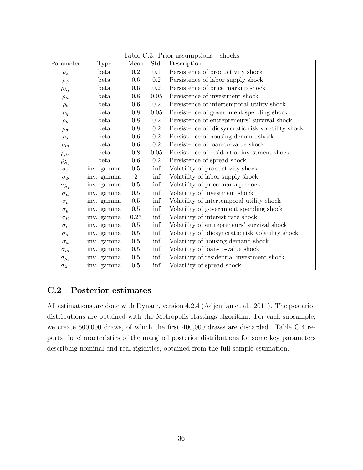| Parameter                          | <b>Type</b> | Mean           | Std.      | $10010 \, \text{C} \cdot \text{O}$ . I Hot $0000 \, \text{m}$<br>Description |
|------------------------------------|-------------|----------------|-----------|------------------------------------------------------------------------------|
| $\rho_z$                           | beta        | 0.2            | 0.1       | Persistence of productivity shock                                            |
| $\rho_{\phi}$                      | beta        | 0.6            | $\rm 0.2$ | Persistence of labor supply shock                                            |
| $\rho_{\lambda_f}$                 | beta        | 0.6            | $0.2\,$   | Persistence of price markup shock                                            |
| $\rho_\mu$                         | beta        | 0.8            | $0.05\,$  | Persistence of investment shock                                              |
| $\rho_b$                           | beta        | 0.6            | $0.2\,$   | Persistence of intertemporal utility shock                                   |
| $\rho_g$                           | beta        | 0.8            | $0.05\,$  | Persistence of government spending shock                                     |
| $\rho_\nu$                         | beta        | 0.8            | $0.2\,$   | Persistence of entrepreneurs' survival shock                                 |
| $\rho_{\sigma}$                    | beta        | 0.8            | $\rm 0.2$ | Persistence of idiosyncratic risk volatility shock                           |
| $\rho_a$                           | beta        | 0.6            | 0.2       | Persistence of housing demand shock                                          |
| $\rho_m$                           | beta        | 0.6            | $0.2\,$   | Persistence of loan-to-value shock                                           |
| $\rho_{\mu_o}$                     | beta        | 0.8            | 0.05      | Persistence of residential investment shock                                  |
| $\rho_{\lambda_d}$                 | beta        | 0.6            | $0.2\,$   | Persistence of spread shock                                                  |
| $\sigma_z$                         | inv. gamma  | $0.5\,$        | inf       | Volatility of productivity shock                                             |
| $\sigma_{\phi}$                    | inv. gamma  | $\overline{2}$ | inf       | Volatility of labor supply shock                                             |
| $\sigma_{\lambda_f}$               | inv. gamma  | $0.5\,$        | inf       | Volatility of price markup shock                                             |
| $\sigma_{\mu}$                     | inv. gamma  | $0.5\,$        | inf       | Volatility of investment shock                                               |
| $\sigma_b$                         | inv. gamma  | $0.5\,$        | inf       | Volatility of intertemporal utility shock                                    |
| $\sigma_g$                         | inv. gamma  | $0.5\,$        | inf       | Volatility of government spending shock                                      |
| $\sigma_R$                         | inv. gamma  | 0.25           | inf       | Volatility of interest rate shock                                            |
| $\sigma_{\nu}$                     | inv. gamma  | $0.5\,$        | inf       | Volatility of entrepreneurs' survival shock                                  |
| $\sigma_{\sigma}$                  | inv. gamma  | $0.5\,$        | inf       | Volatility of idiosyncratic risk volatility shock                            |
| $\sigma_a$                         | inv. gamma  | $0.5\,$        | inf       | Volatility of housing demand shock                                           |
| $\sigma_m$                         | inv. gamma  | $0.5\,$        | inf       | Volatility of loan-to-value shock                                            |
| $\sigma_{\mu_o}$                   | inv. gamma  | $0.5\,$        | inf       | Volatility of residential investment shock                                   |
| $\sigma_{\lambda_{\underline{d}}}$ | inv. gamma  | 0.5            | inf       | Volatility of spread shock                                                   |

Table C.3: Prior assumptions - shocks

### **C.2 Posterior estimates**

All estimations are done with Dynare, version 4.2.4 (Adjemian et al., 2011). The posterior distributions are obtained with the Metropolis-Hastings algorithm. For each subsample, we create 500,000 draws, of which the first 400,000 draws are discarded. Table C.4 reports the characteristics of the marginal posterior distributions for some key parameters describing nominal and real rigidities, obtained from the full sample estimation.